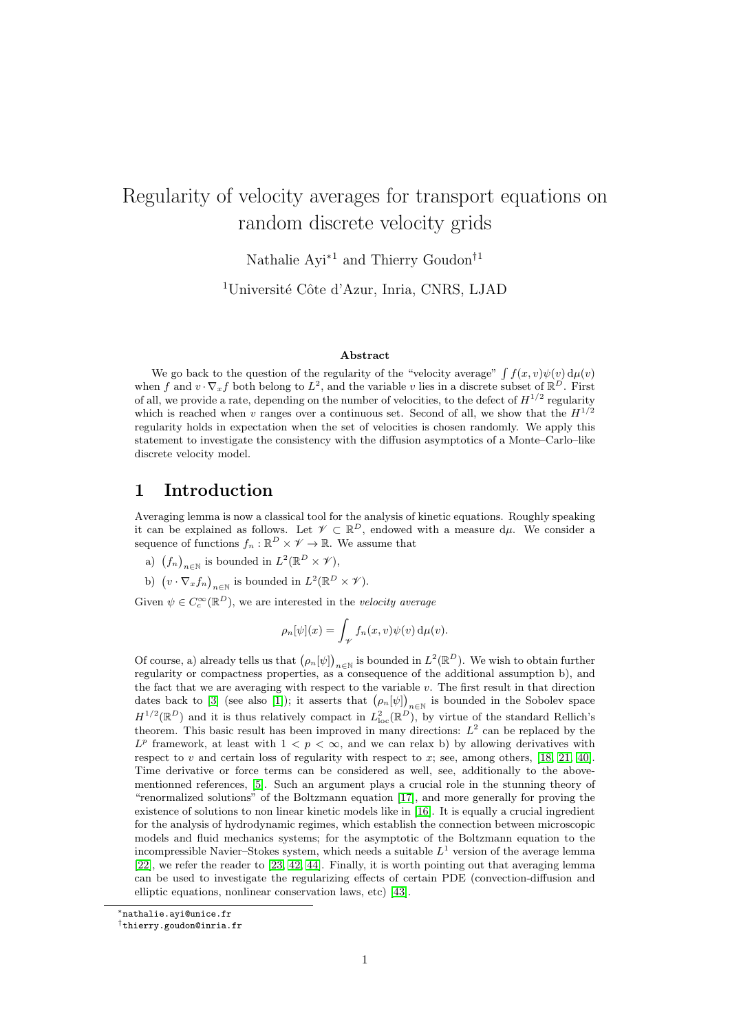# Regularity of velocity averages for transport equations on random discrete velocity grids

Nathalie Ayi<sup>∗</sup><sup>1</sup> and Thierry Goudon†<sup>1</sup>

<sup>1</sup>Université Côte d'Azur, Inria, CNRS, LJAD

#### Abstract

We go back to the question of the regularity of the "velocity average"  $\int f(x, v)\psi(v) d\mu(v)$ when f and  $v \cdot \nabla_x f$  both belong to  $L^2$ , and the variable v lies in a discrete subset of  $\mathbb{R}^D$ . First of all, we provide a rate, depending on the number of velocities, to the defect of  $H^{1/2}$  regularity which is reached when v ranges over a continuous set. Second of all, we show that the  $H^{1/2}$ regularity holds in expectation when the set of velocities is chosen randomly. We apply this statement to investigate the consistency with the diffusion asymptotics of a Monte–Carlo–like discrete velocity model.

# 1 Introduction

Averaging lemma is now a classical tool for the analysis of kinetic equations. Roughly speaking it can be explained as follows. Let  $\mathscr{V} \subset \mathbb{R}^D$ , endowed with a measure  $d\mu$ . We consider a sequence of functions  $f_n : \mathbb{R}^D \times \mathcal{V} \to \mathbb{R}$ . We assume that

- a)  $(f_n)_{n \in \mathbb{N}}$  is bounded in  $L^2(\mathbb{R}^D \times \mathcal{V}),$
- b)  $(v \cdot \nabla_x f_n)_{n \in \mathbb{N}}$  is bounded in  $L^2(\mathbb{R}^D \times \mathcal{V})$ .

Given  $\psi \in C_c^{\infty}(\mathbb{R}^D)$ , we are interested in the *velocity average* 

$$
\rho_n[\psi](x) = \int_{\mathscr{V}} f_n(x,v)\psi(v) d\mu(v).
$$

Of course, a) already tells us that  $(\rho_n[\psi])_{n\in\mathbb{N}}$  is bounded in  $L^2(\mathbb{R}^D)$ . We wish to obtain further regularity or compactness properties, as a consequence of the additional assumption b), and the fact that we are averaging with respect to the variable  $v$ . The first result in that direction dates back to [\[3\]](#page-19-0) (see also [\[1\]](#page-19-1)); it asserts that  $(\rho_n[\psi])_{n\in\mathbb{N}}$  is bounded in the Sobolev space  $H^{1/2}(\mathbb{R}^D)$  and it is thus relatively compact in  $L^2_{\text{loc}}(\mathbb{R}^D)$ , by virtue of the standard Rellich's theorem. This basic result has been improved in many directions:  $L^2$  can be replaced by the  $L^p$  framework, at least with  $1 < p < \infty$ , and we can relax b) by allowing derivatives with respect to v and certain loss of regularity with respect to x; see, among others,  $[18, 21, 40]$  $[18, 21, 40]$  $[18, 21, 40]$ . Time derivative or force terms can be considered as well, see, additionally to the abovementionned references, [\[5\]](#page-19-2). Such an argument plays a crucial role in the stunning theory of "renormalized solutions" of the Boltzmann equation [\[17\]](#page-20-2), and more generally for proving the existence of solutions to non linear kinetic models like in [\[16\]](#page-19-3). It is equally a crucial ingredient for the analysis of hydrodynamic regimes, which establish the connection between microscopic models and fluid mechanics systems; for the asymptotic of the Boltzmann equation to the incompressible Navier–Stokes system, which needs a suitable  $L^1$  version of the average lemma [\[22\]](#page-20-3), we refer the reader to [\[23,](#page-20-4) [42,](#page-21-1) [44\]](#page-21-2). Finally, it is worth pointing out that averaging lemma can be used to investigate the regularizing effects of certain PDE (convection-diffusion and elliptic equations, nonlinear conservation laws, etc) [\[43\]](#page-21-3).

<sup>∗</sup>nathalie.ayi@unice.fr

<sup>†</sup>thierry.goudon@inria.fr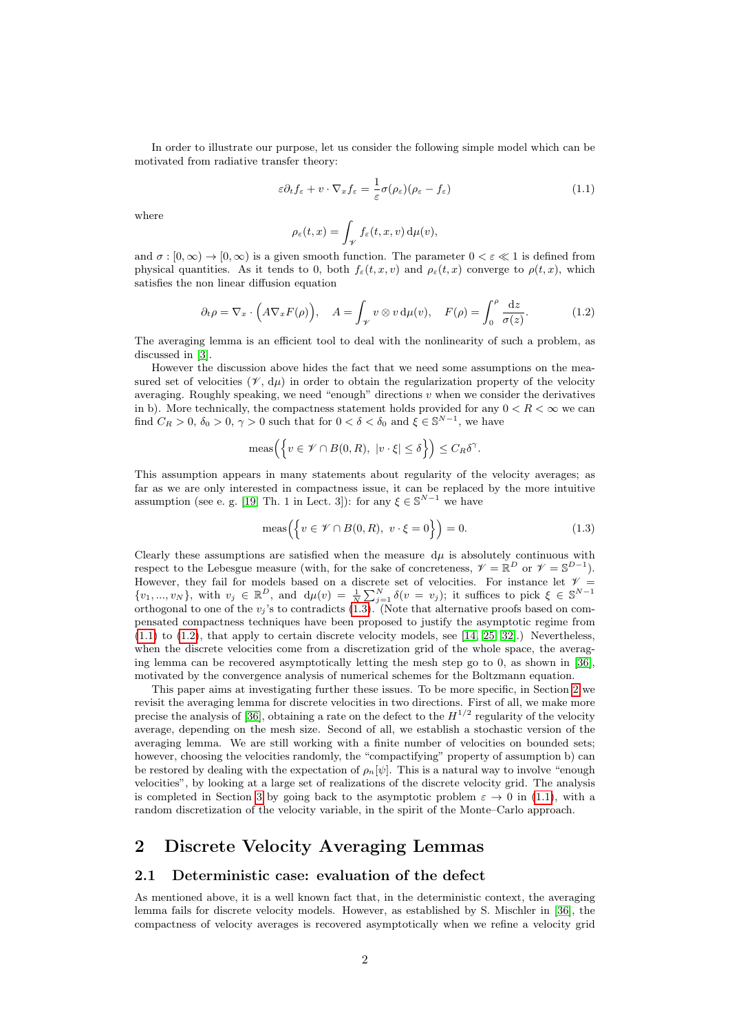In order to illustrate our purpose, let us consider the following simple model which can be motivated from radiative transfer theory:

<span id="page-1-1"></span>
$$
\varepsilon \partial_t f_{\varepsilon} + v \cdot \nabla_x f_{\varepsilon} = \frac{1}{\varepsilon} \sigma(\rho_{\varepsilon}) (\rho_{\varepsilon} - f_{\varepsilon}) \tag{1.1}
$$

where

$$
\rho_{\varepsilon}(t,x) = \int_{\mathscr V} f_{\varepsilon}(t,x,v) \,d\mu(v),
$$

and  $\sigma : [0, \infty) \to [0, \infty)$  is a given smooth function. The parameter  $0 < \varepsilon \ll 1$  is defined from physical quantities. As it tends to 0, both  $f_{\varepsilon}(t, x, v)$  and  $\rho_{\varepsilon}(t, x)$  converge to  $\rho(t, x)$ , which satisfies the non linear diffusion equation

<span id="page-1-2"></span>
$$
\partial_t \rho = \nabla_x \cdot \left( A \nabla_x F(\rho) \right), \quad A = \int_{\mathcal{V}} v \otimes v \, \mathrm{d}\mu(v), \quad F(\rho) = \int_0^{\rho} \frac{\mathrm{d}z}{\sigma(z)}.
$$
 (1.2)

The averaging lemma is an efficient tool to deal with the nonlinearity of such a problem, as discussed in [\[3\]](#page-19-0).

However the discussion above hides the fact that we need some assumptions on the measured set of velocities  $(\mathcal{V}, d\mu)$  in order to obtain the regularization property of the velocity averaging. Roughly speaking, we need "enough" directions v when we consider the derivatives in b). More technically, the compactness statement holds provided for any  $0 < R < \infty$  we can find  $C_R > 0$ ,  $\delta_0 > 0$ ,  $\gamma > 0$  such that for  $0 < \delta < \delta_0$  and  $\xi \in \mathbb{S}^{N-1}$ , we have

$$
\operatorname{meas}\left(\left\{v \in \mathscr{V} \cap B(0,R), \ |v \cdot \xi| \le \delta\right\}\right) \le C_R \delta^{\gamma}.
$$

This assumption appears in many statements about regularity of the velocity averages; as far as we are only interested in compactness issue, it can be replaced by the more intuitive assumption (see e. g. [\[19,](#page-20-5) Th. 1 in Lect. 3]): for any  $\xi \in \mathbb{S}^{N-1}$  we have

<span id="page-1-0"></span>
$$
\operatorname{meas}\left(\left\{v \in \mathscr{V} \cap B(0,R), \ v \cdot \xi = 0\right\}\right) = 0. \tag{1.3}
$$

Clearly these assumptions are satisfied when the measure  $d\mu$  is absolutely continuous with respect to the Lebesgue measure (with, for the sake of concreteness,  $\mathcal{V} = \mathbb{R}^D$  or  $\mathcal{V} = \mathbb{S}^{D-1}$ ). However, they fail for models based on a discrete set of velocities. For instance let  $\mathscr{V}$  =  $\{v_1, ..., v_N\}$ , with  $v_j \in \mathbb{R}^D$ , and  $d\mu(v) = \frac{1}{N} \sum_{j=1}^N \delta(v = v_j)$ ; it suffices to pick  $\xi \in \mathbb{S}^{N-1}$ orthogonal to one of the  $v_j$ 's to contradicts [\(1.3\)](#page-1-0). (Note that alternative proofs based on compensated compactness techniques have been proposed to justify the asymptotic regime from  $(1.1)$  to  $(1.2)$ , that apply to certain discrete velocity models, see [\[14,](#page-19-4) [25,](#page-20-6) [32\]](#page-20-7).) Nevertheless, when the discrete velocities come from a discretization grid of the whole space, the averaging lemma can be recovered asymptotically letting the mesh step go to 0, as shown in [\[36\]](#page-20-8), motivated by the convergence analysis of numerical schemes for the Boltzmann equation.

This paper aims at investigating further these issues. To be more specific, in Section [2](#page-1-3) we revisit the averaging lemma for discrete velocities in two directions. First of all, we make more precise the analysis of [\[36\]](#page-20-8), obtaining a rate on the defect to the  $H^{1/2}$  regularity of the velocity average, depending on the mesh size. Second of all, we establish a stochastic version of the averaging lemma. We are still working with a finite number of velocities on bounded sets; however, choosing the velocities randomly, the "compactifying" property of assumption b) can be restored by dealing with the expectation of  $\rho_n[\psi]$ . This is a natural way to involve "enough velocities", by looking at a large set of realizations of the discrete velocity grid. The analysis is completed in Section [3](#page-11-0) by going back to the asymptotic problem  $\varepsilon \to 0$  in [\(1.1\)](#page-1-1), with a random discretization of the velocity variable, in the spirit of the Monte–Carlo approach.

# <span id="page-1-3"></span>2 Discrete Velocity Averaging Lemmas

#### 2.1 Deterministic case: evaluation of the defect

As mentioned above, it is a well known fact that, in the deterministic context, the averaging lemma fails for discrete velocity models. However, as established by S. Mischler in [\[36\]](#page-20-8), the compactness of velocity averages is recovered asymptotically when we refine a velocity grid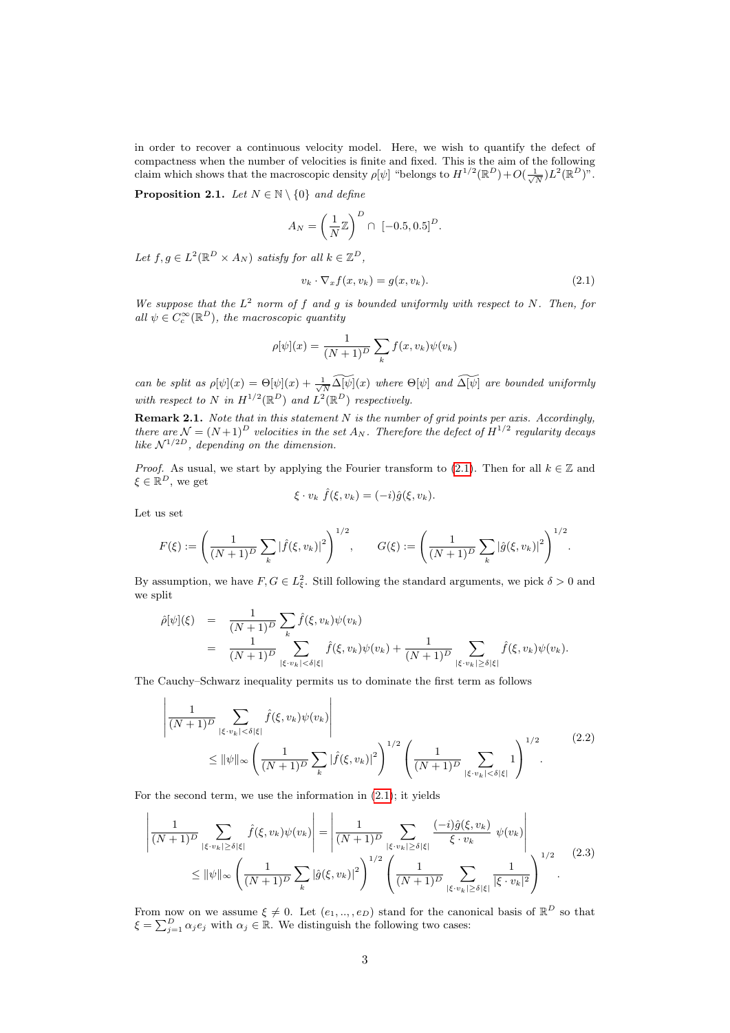in order to recover a continuous velocity model. Here, we wish to quantify the defect of compactness when the number of velocities is finite and fixed. This is the aim of the following claim which shows that the macroscopic density  $\rho[\psi]$  "belongs to  $H^{1/2}(\mathbb{R}^D) + O(\frac{1}{\sqrt{N}})L^2(\mathbb{R}^D)$ ".

<span id="page-2-3"></span>**Proposition 2.1.** Let  $N \in \mathbb{N} \setminus \{0\}$  and define

$$
A_N = \left(\frac{1}{N}\mathbb{Z}\right)^D \cap [-0.5, 0.5]^D.
$$

Let  $f, g \in L^2(\mathbb{R}^D \times A_N)$  satisfy for all  $k \in \mathbb{Z}^D$ ,

<span id="page-2-0"></span>
$$
v_k \cdot \nabla_x f(x, v_k) = g(x, v_k). \tag{2.1}
$$

We suppose that the  $L^2$  norm of f and g is bounded uniformly with respect to N. Then, for all  $\psi \in C_c^{\infty}(\mathbb{R}^D)$ , the macroscopic quantity

$$
\rho[\psi](x) = \frac{1}{(N+1)^D} \sum_{k} f(x, v_k) \psi(v_k)
$$

can be split as  $\rho[\psi](x) = \Theta[\psi](x) + \frac{1}{\sqrt{N}} \widetilde{\Delta[\psi]}(x)$  where  $\Theta[\psi]$  and  $\widetilde{\Delta[\psi]}$  are bounded uniformly with respect to N in  $H^{1/2}(\mathbb{R}^D)$  and  $L^2(\mathbb{R}^D)$  respectively.

**Remark 2.1.** Note that in this statement N is the number of grid points per axis. Accordingly, there are  $\mathcal{N} = (N+1)^D$  velocities in the set  $A_N$ . Therefore the defect of  $H^{1/2}$  regularity decays like  $\mathcal{N}^{1/2D}$ , depending on the dimension.

*Proof.* As usual, we start by applying the Fourier transform to [\(2.1\)](#page-2-0). Then for all  $k \in \mathbb{Z}$  and  $\xi \in \mathbb{R}^D$ , we get

$$
\xi \cdot v_k \hat{f}(\xi, v_k) = (-i)\hat{g}(\xi, v_k).
$$

Let us set

$$
F(\xi) := \left(\frac{1}{(N+1)^D} \sum_{k} |\hat{f}(\xi, v_k)|^2\right)^{1/2}, \qquad G(\xi) := \left(\frac{1}{(N+1)^D} \sum_{k} |\hat{g}(\xi, v_k)|^2\right)^{1/2}.
$$

By assumption, we have  $F, G \in L^2_{\xi}$ . Still following the standard arguments, we pick  $\delta > 0$  and we split

$$
\hat{\rho}[\psi](\xi) = \frac{1}{(N+1)^D} \sum_{k} \hat{f}(\xi, v_k) \psi(v_k) \n= \frac{1}{(N+1)^D} \sum_{|\xi \cdot v_k| < \delta |\xi|} \hat{f}(\xi, v_k) \psi(v_k) + \frac{1}{(N+1)^D} \sum_{|\xi \cdot v_k| \geq \delta |\xi|} \hat{f}(\xi, v_k) \psi(v_k).
$$

The Cauchy–Schwarz inequality permits us to dominate the first term as follows

<span id="page-2-1"></span>
$$
\left| \frac{1}{(N+1)^D} \sum_{|\xi \cdot v_k| < \delta |\xi|} \hat{f}(\xi, v_k) \psi(v_k) \right|
$$
\n
$$
\leq \|\psi\|_{\infty} \left( \frac{1}{(N+1)^D} \sum_{k} |\hat{f}(\xi, v_k)|^2 \right)^{1/2} \left( \frac{1}{(N+1)^D} \sum_{|\xi \cdot v_k| < \delta |\xi|} 1 \right)^{1/2} .
$$
\n(2.2)

For the second term, we use the information in [\(2.1\)](#page-2-0); it yields

 $\mathbf{r}$ 

<span id="page-2-2"></span>
$$
\left| \frac{1}{(N+1)^D} \sum_{|\xi \cdot v_k| \ge \delta |\xi|} \hat{f}(\xi, v_k) \psi(v_k) \right| = \left| \frac{1}{(N+1)^D} \sum_{|\xi \cdot v_k| \ge \delta |\xi|} \frac{(-i)\hat{g}(\xi, v_k)}{\xi \cdot v_k} \psi(v_k) \right|
$$
  

$$
\leq \|\psi\|_{\infty} \left( \frac{1}{(N+1)^D} \sum_{k} |\hat{g}(\xi, v_k)|^2 \right)^{1/2} \left( \frac{1}{(N+1)^D} \sum_{|\xi \cdot v_k| \ge \delta |\xi|} \frac{1}{|\xi \cdot v_k|^2} \right)^{1/2} .
$$
 (2.3)

From now on we assume  $\xi \neq 0$ . Let  $(e_1, ..., e_D)$  stand for the canonical basis of  $\mathbb{R}^D$  so that  $\xi = \sum_{j=1}^{D} \alpha_j e_j$  with  $\alpha_j \in \mathbb{R}$ . We distinguish the following two cases: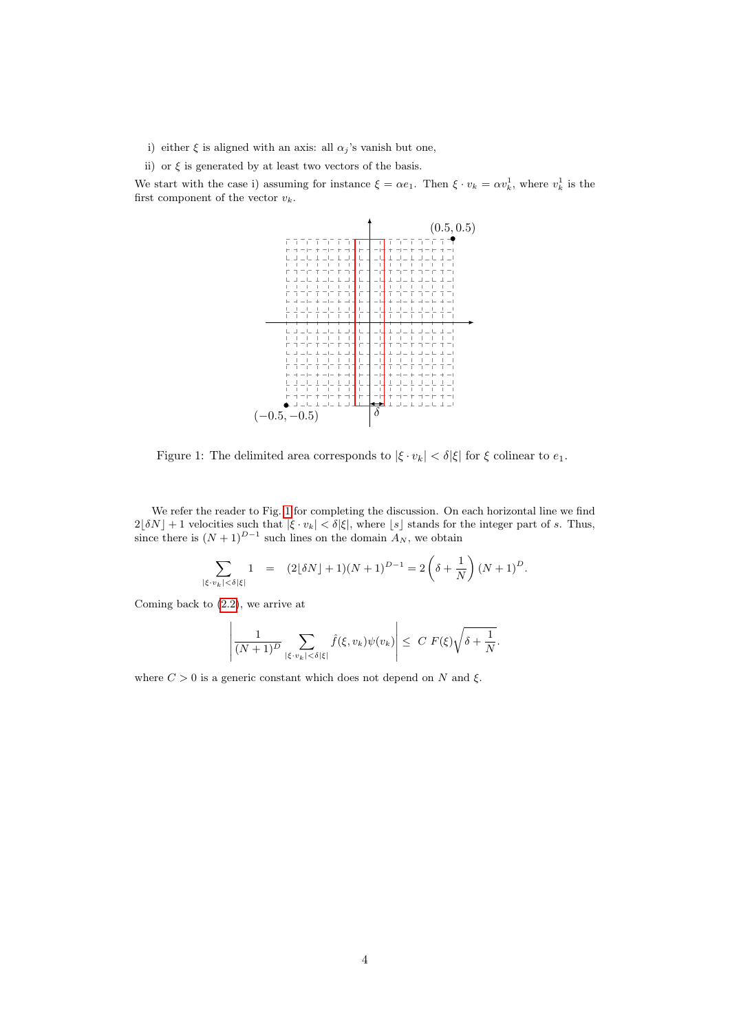- i) either  $\xi$  is aligned with an axis: all  $\alpha_j$ 's vanish but one,
- ii) or  $\xi$  is generated by at least two vectors of the basis.

We start with the case i) assuming for instance  $\xi = \alpha e_1$ . Then  $\xi \cdot v_k = \alpha v_k^1$ , where  $v_k^1$  is the first component of the vector  $v_k$ .



<span id="page-3-0"></span>Figure 1: The delimited area corresponds to  $|\xi \cdot v_k| < \delta |\xi|$  for  $\xi$  colinear to  $e_1$ .

We refer the reader to Fig. [1](#page-3-0) for completing the discussion. On each horizontal line we find  $2\lfloor \delta N \rfloor + 1$  velocities such that  $|\xi \cdot v_k| < \delta |\xi|$ , where  $\lfloor s \rfloor$  stands for the integer part of s. Thus, since there is  $(N+1)^{D-1}$  such lines on the domain  $A_N$ , we obtain

$$
\sum_{|\xi \cdot v_k| < \delta |\xi|} 1 = (2\lfloor \delta N \rfloor + 1)(N+1)^{D-1} = 2\left(\delta + \frac{1}{N}\right)(N+1)^D.
$$

Coming back to [\(2.2\)](#page-2-1), we arrive at

 $\mathbf{r}$ 

$$
\left|\frac{1}{(N+1)^D}\sum_{|\xi\cdot v_k|<\delta|\xi|}\hat{f}(\xi,v_k)\psi(v_k)\right|\leq C F(\xi)\sqrt{\delta+\frac{1}{N}}.
$$

where  $C > 0$  is a generic constant which does not depend on N and  $\xi$ .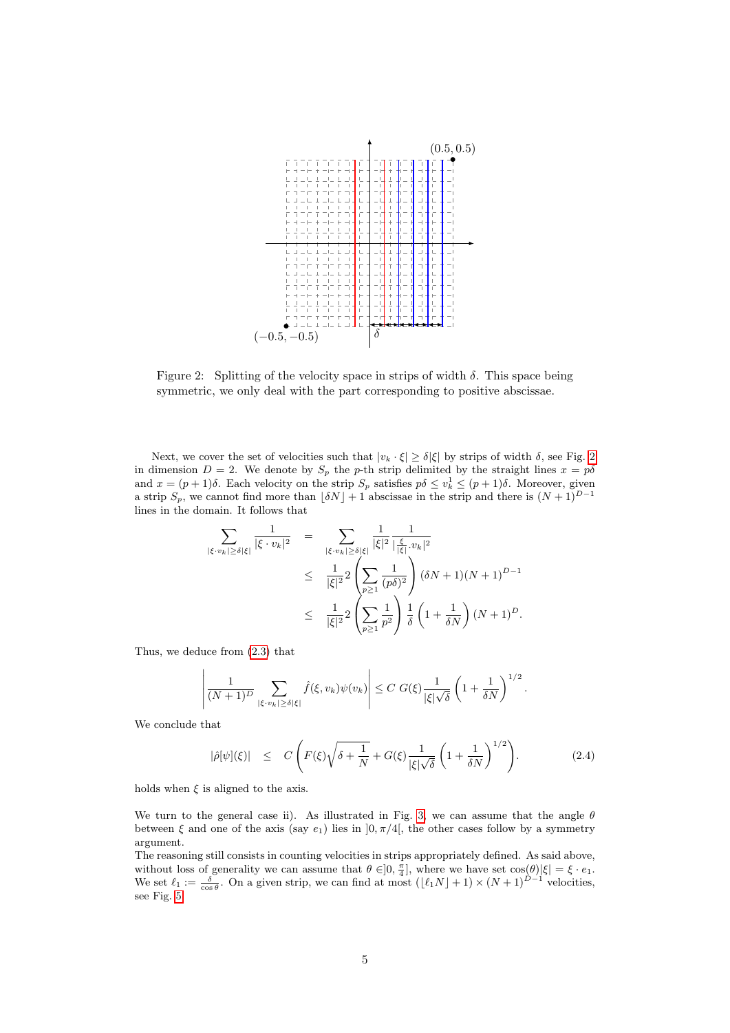

<span id="page-4-0"></span>Figure 2: Splitting of the velocity space in strips of width  $\delta$ . This space being symmetric, we only deal with the part corresponding to positive abscissae.

Next, we cover the set of velocities such that  $|v_k \cdot \xi| \geq \delta |\xi|$  by strips of width  $\delta$ , see Fig. [2](#page-4-0) in dimension  $D = 2$ . We denote by  $S_p$  the p-th strip delimited by the straight lines  $x = p\delta$ and  $x = (p+1)\delta$ . Each velocity on the strip  $S_p$  satisfies  $p\delta \leq v^1_k \leq (p+1)\delta$ . Moreover, given a strip  $S_p$ , we cannot find more than  $\lfloor \delta N \rfloor + 1$  abscissae in the strip and there is  $(N + 1)^{D-1}$ lines in the domain. It follows that

$$
\sum_{|\xi \cdot v_k| \ge \delta |\xi|} \frac{1}{|\xi \cdot v_k|^2} = \sum_{|\xi \cdot v_k| \ge \delta |\xi|} \frac{1}{|\xi|^2} \frac{1}{|\frac{\xi}{|\xi|} \cdot v_k|^2} \n\le \frac{1}{|\xi|^2} 2 \left( \sum_{p \ge 1} \frac{1}{(p\delta)^2} \right) (\delta N + 1)(N + 1)^{D-1} \n\le \frac{1}{|\xi|^2} 2 \left( \sum_{p \ge 1} \frac{1}{p^2} \right) \frac{1}{\delta} \left( 1 + \frac{1}{\delta N} \right) (N + 1)^D.
$$

Thus, we deduce from [\(2.3\)](#page-2-2) that

$$
\left|\frac{1}{(N+1)^D}\sum_{|\xi\cdot v_k|\geq \delta|\xi|}\hat{f}(\xi,v_k)\psi(v_k)\right|\leq C\ G(\xi)\frac{1}{|\xi|\sqrt{\delta}}\left(1+\frac{1}{\delta N}\right)^{1/2}.
$$

We conclude that

<span id="page-4-1"></span>
$$
|\hat{\rho}[\psi](\xi)| \leq C \left( F(\xi) \sqrt{\delta + \frac{1}{N}} + G(\xi) \frac{1}{|\xi| \sqrt{\delta}} \left( 1 + \frac{1}{\delta N} \right)^{1/2} \right). \tag{2.4}
$$

holds when  $\xi$  is aligned to the axis.

We turn to the general case ii). As illustrated in Fig. [3,](#page-5-0) we can assume that the angle  $\theta$ between  $\xi$  and one of the axis (say  $e_1$ ) lies in  $[0, \pi/4]$ , the other cases follow by a symmetry argument.

The reasoning still consists in counting velocities in strips appropriately defined. As said above, without loss of generality we can assume that  $\theta \in ]0, \frac{\pi}{4}]$ , where we have set  $\cos(\theta)|\xi| = \xi \cdot e_1$ . We set  $\ell_1 := \frac{\delta}{\cos \theta}$ . On a given strip, we can find at most  $(\lfloor \ell_1 N \rfloor + 1) \times (N + 1)^{D-1}$  velocities, see Fig. [5.](#page-6-0)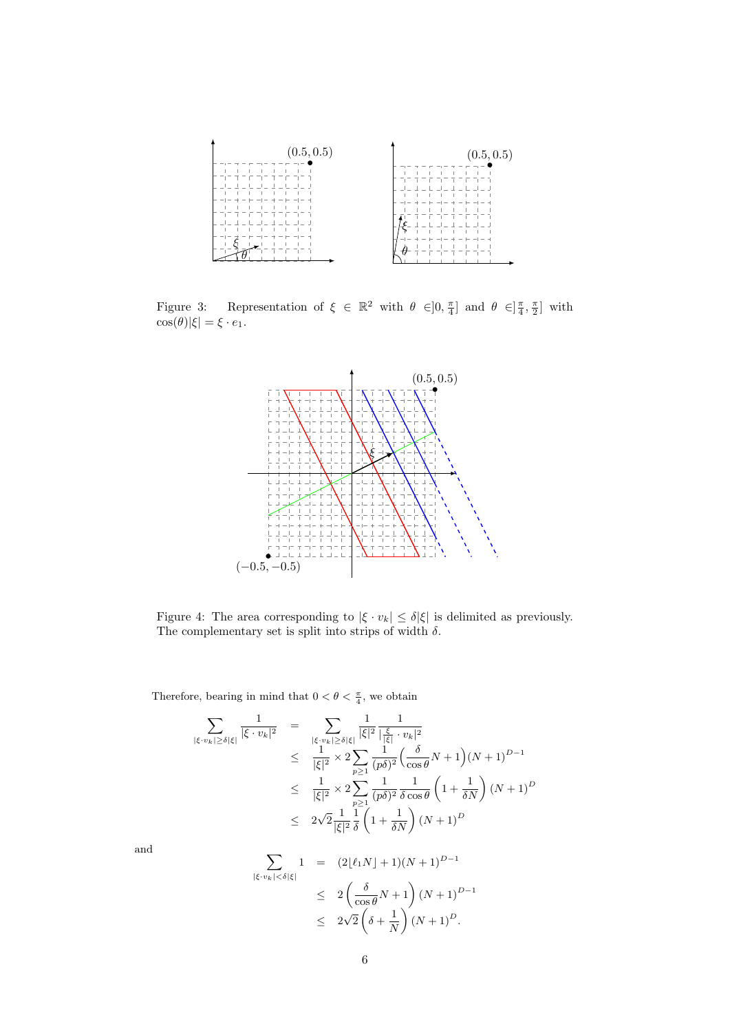

<span id="page-5-0"></span>Figure 3: Representation of  $\xi \in \mathbb{R}^2$  with  $\theta \in ]0, \frac{\pi}{4}]$  and  $\theta \in ]\frac{\pi}{4}, \frac{\pi}{2}]$  with  $\cos(\theta)|\xi| = \xi \cdot e_1.$ 



Figure 4: The area corresponding to  $|\xi \cdot v_k| \leq \delta |\xi|$  is delimited as previously. The complementary set is split into strips of width  $\delta$ .

Therefore, bearing in mind that  $0 < \theta < \frac{\pi}{4}$ , we obtain

$$
\sum_{\substack{|\xi \cdot v_k| \ge \delta |\xi|}} \frac{1}{|\xi \cdot v_k|^2} = \sum_{\substack{|\xi \cdot v_k| \ge \delta |\xi| \\ |\xi|^2}} \frac{1}{|\xi|^2} \frac{1}{|\frac{\xi}{|\xi|} \cdot v_k|^2}
$$
\n
$$
\leq \frac{1}{|\xi|^2} \times 2 \sum_{p \ge 1} \frac{1}{(p\delta)^2} \left(\frac{\delta}{\cos \theta} N + 1\right) (N+1)^{D-1}
$$
\n
$$
\leq \frac{1}{|\xi|^2} \times 2 \sum_{p \ge 1} \frac{1}{(p\delta)^2} \frac{1}{\delta \cos \theta} \left(1 + \frac{1}{\delta N}\right) (N+1)^D
$$
\n
$$
\leq 2\sqrt{2} \frac{1}{|\xi|^2} \frac{1}{\delta} \left(1 + \frac{1}{\delta N}\right) (N+1)^D
$$

and

$$
\sum_{\substack{|\xi \cdot v_k| < \delta |\xi|}} 1 = (2\lfloor \ell_1 N \rfloor + 1)(N+1)^{D-1}
$$
\n
$$
\leq 2\left(\frac{\delta}{\cos \theta}N + 1\right)(N+1)^{D-1}
$$
\n
$$
\leq 2\sqrt{2}\left(\delta + \frac{1}{N}\right)(N+1)^D.
$$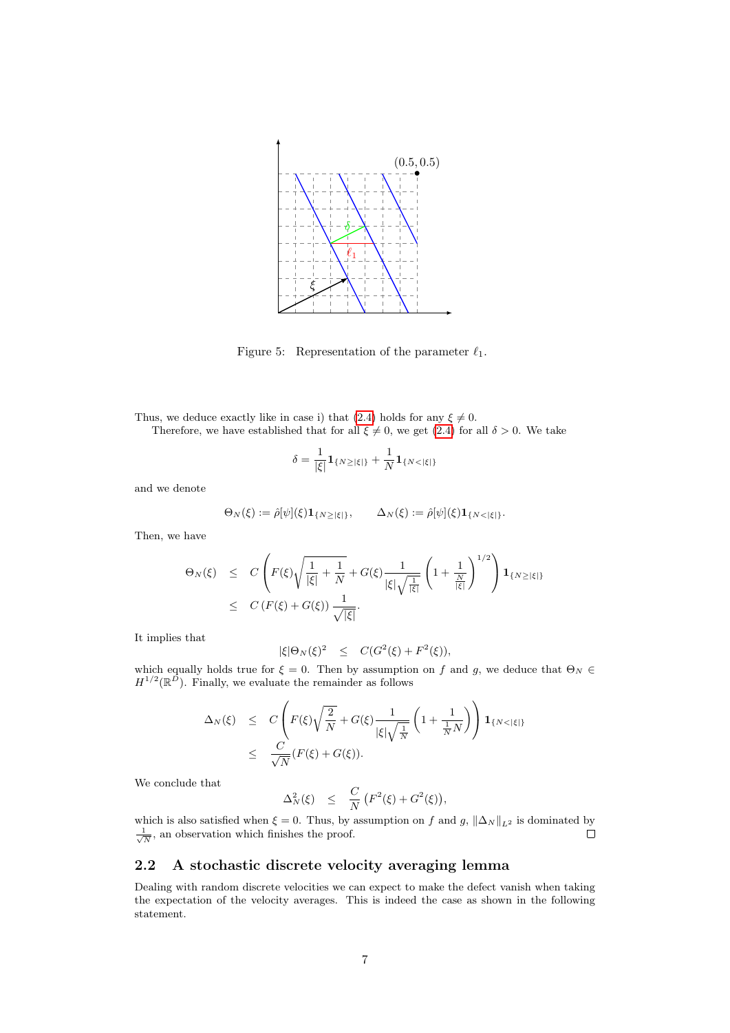

<span id="page-6-0"></span>Figure 5: Representation of the parameter  $\ell_1$ .

Thus, we deduce exactly like in case i) that [\(2.4\)](#page-4-1) holds for any  $\xi\neq 0.$ us, we deduce exactly like in case i) that [\(2.4\)](#page-4-1) holds for any  $\xi \neq 0$ .<br>Therefore, we have established that for all  $\xi \neq 0$ , we get (2.4) for all  $\delta > 0$ . We take

Therefore, we have established that for all 
$$
\xi \neq 0
$$
, we get (2.4) for all  $\delta > 0$ . We tak

$$
\delta = \frac{1}{|\xi|} \mathbf{1}_{\{N \ge |\xi|\}} + \frac{1}{N} \mathbf{1}_{\{N < |\xi|\}}
$$

and we denote

$$
\Theta_N(\xi) := \hat{\rho}[\psi](\xi) \mathbf{1}_{\{N \geq |\xi|\}}, \qquad \Delta_N(\xi) := \hat{\rho}[\psi](\xi) \mathbf{1}_{\{N < |\xi|\}}.
$$

Then, we have

$$
\Theta_N(\xi) \leq C \left( F(\xi) \sqrt{\frac{1}{|\xi|} + \frac{1}{N}} + G(\xi) \frac{1}{|\xi| \sqrt{\frac{1}{|\xi|}}} \left( 1 + \frac{1}{\frac{N}{|\xi|}} \right)^{1/2} \right) \mathbf{1}_{\{N \geq |\xi|\}} \leq C \left( F(\xi) + G(\xi) \right) \frac{1}{\sqrt{|\xi|}}.
$$

It implies that

$$
|\xi|\Theta_N(\xi)^2 \leq C(G^2(\xi) + F^2(\xi)),
$$

which equally holds true for  $\xi = 0$ . Then by assumption on f and g, we deduce that  $\Theta_N \in$  $H^{1/2}(\mathbb{R}^D)$ . Finally, we evaluate the remainder as follows

$$
\Delta_N(\xi) \leq C \left( F(\xi) \sqrt{\frac{2}{N}} + G(\xi) \frac{1}{|\xi| \sqrt{\frac{1}{N}}} \left( 1 + \frac{1}{\frac{1}{N}N} \right) \right) \mathbf{1}_{\{N < |\xi|\}} \leq \frac{C}{\sqrt{N}} (F(\xi) + G(\xi)).
$$

We conclude that

$$
\Delta_N^2(\xi) \leq \frac{C}{N} \left( F^2(\xi) + G^2(\xi) \right),
$$

which is also satisfied when  $\xi = 0$ . Thus, by assumption on f and g,  $\|\Delta_N\|_{L^2}$  is dominated by  $\frac{1}{\sqrt{N}}$ , an observation which finishes the proof.  $\frac{1}{\sqrt{N}}$ , an observation which finishes the proof.

#### 2.2 A stochastic discrete velocity averaging lemma

Dealing with random discrete velocities we can expect to make the defect vanish when taking the expectation of the velocity averages. This is indeed the case as shown in the following statement.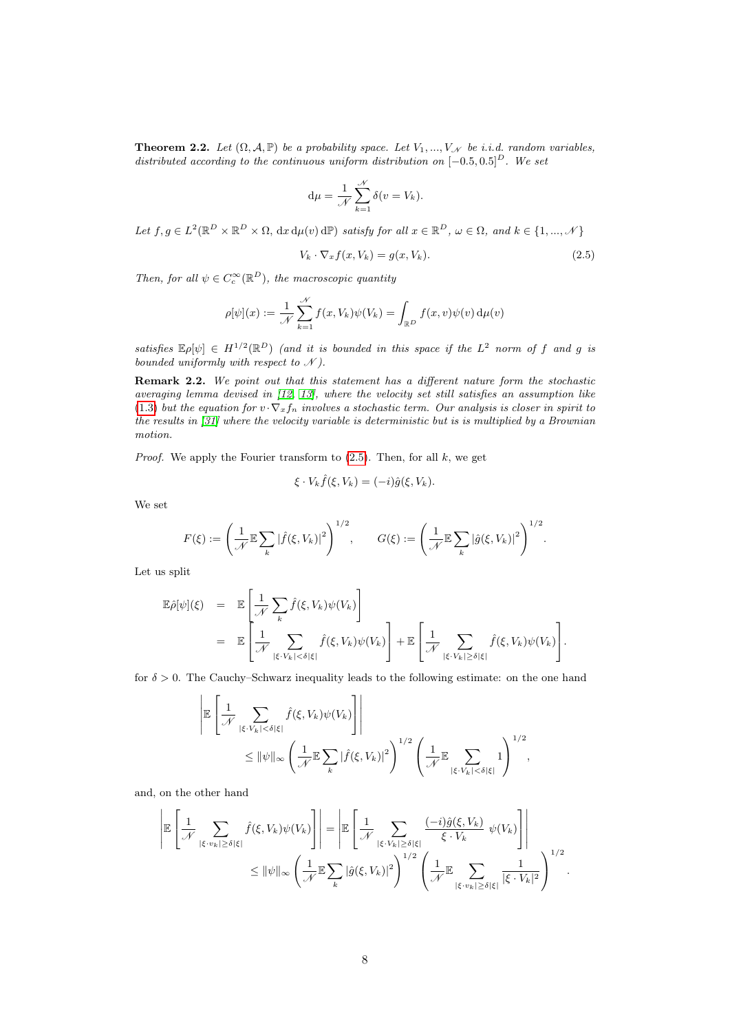<span id="page-7-1"></span>**Theorem 2.2.** Let  $(\Omega, \mathcal{A}, \mathbb{P})$  be a probability space. Let  $V_1, ..., V_{\mathcal{N}}$  be i.i.d. random variables, distributed according to the continuous uniform distribution on  $[-0.5, 0.5]^D$ . We set

$$
d\mu = \frac{1}{\mathcal{N}} \sum_{k=1}^{\mathcal{N}} \delta(v = V_k).
$$

Let  $f, g \in L^2(\mathbb{R}^D \times \mathbb{R}^D \times \Omega, dx d\mu(v) d\mathbb{P})$  satisfy for all  $x \in \mathbb{R}^D$ ,  $\omega \in \Omega$ , and  $k \in \{1, ..., \mathcal{N}\}\$ 

<span id="page-7-0"></span>
$$
V_k \cdot \nabla_x f(x, V_k) = g(x, V_k). \tag{2.5}
$$

Then, for all  $\psi \in C_c^{\infty}(\mathbb{R}^D)$ , the macroscopic quantity

$$
\rho[\psi](x) := \frac{1}{\mathcal{N}} \sum_{k=1}^{\mathcal{N}} f(x, V_k) \psi(V_k) = \int_{\mathbb{R}^D} f(x, v) \psi(v) d\mu(v)
$$

satisfies  $\mathbb{E}[\rho|\psi] \in H^{1/2}(\mathbb{R}^D)$  (and it is bounded in this space if the  $L^2$  norm of f and g is bounded uniformly with respect to  $\mathcal N$ ).

Remark 2.2. We point out that this statement has a different nature form the stochastic averaging lemma devised in [\[12,](#page-19-5) [13\]](#page-19-6), where the velocity set still satisfies an assumption like [\(1.3\)](#page-1-0) but the equation for  $v \cdot \nabla_x f_n$  involves a stochastic term. Our analysis is closer in spirit to the results in [\[31\]](#page-20-9) where the velocity variable is deterministic but is is multiplied by a Brownian motion.

*Proof.* We apply the Fourier transform to  $(2.5)$ . Then, for all k, we get

$$
\xi \cdot V_k \hat{f}(\xi, V_k) = (-i)\hat{g}(\xi, V_k).
$$

We set

$$
F(\xi) := \left(\frac{1}{\mathcal{N}} \mathbb{E} \sum_{k} |\hat{f}(\xi, V_k)|^2\right)^{1/2}, \qquad G(\xi) := \left(\frac{1}{\mathcal{N}} \mathbb{E} \sum_{k} |\hat{g}(\xi, V_k)|^2\right)^{1/2}.
$$

Let us split

$$
\mathbb{E}\hat{\rho}[\psi](\xi) = \mathbb{E}\left[\frac{1}{\mathcal{N}}\sum_{k} \hat{f}(\xi, V_k)\psi(V_k)\right] \n= \mathbb{E}\left[\frac{1}{\mathcal{N}}\sum_{|\xi \cdot V_k| < \delta |\xi|} \hat{f}(\xi, V_k)\psi(V_k)\right] + \mathbb{E}\left[\frac{1}{\mathcal{N}}\sum_{|\xi \cdot V_k| \ge \delta |\xi|} \hat{f}(\xi, V_k)\psi(V_k)\right].
$$

for  $\delta > 0$ . The Cauchy–Schwarz inequality leads to the following estimate: on the one hand

$$
\left| \mathbb{E} \left[ \frac{1}{\mathcal{N}} \sum_{|\xi \cdot V_k| < \delta |\xi|} \hat{f}(\xi, V_k) \psi(V_k) \right] \right|
$$
\n
$$
\leq ||\psi||_{\infty} \left( \frac{1}{\mathcal{N}} \mathbb{E} \sum_{k} |\hat{f}(\xi, V_k)|^2 \right)^{1/2} \left( \frac{1}{\mathcal{N}} \mathbb{E} \sum_{|\xi \cdot V_k| < \delta |\xi|} 1 \right)^{1/2},
$$

and, on the other hand

$$
\left| \mathbb{E} \left[ \frac{1}{\mathcal{N}} \sum_{|\xi \cdot v_k| \ge \delta |\xi|} \hat{f}(\xi, V_k) \psi(V_k) \right] \right| = \left| \mathbb{E} \left[ \frac{1}{\mathcal{N}} \sum_{|\xi \cdot V_k| \ge \delta |\xi|} \frac{(-i)\hat{g}(\xi, V_k)}{\xi \cdot V_k} \psi(V_k) \right] \right|
$$
  

$$
\leq ||\psi||_{\infty} \left( \frac{1}{\mathcal{N}} \mathbb{E} \sum_{k} |\hat{g}(\xi, V_k)|^2 \right)^{1/2} \left( \frac{1}{\mathcal{N}} \mathbb{E} \sum_{|\xi \cdot v_k| \ge \delta |\xi|} \frac{1}{|\xi \cdot V_k|^2} \right)^{1/2}.
$$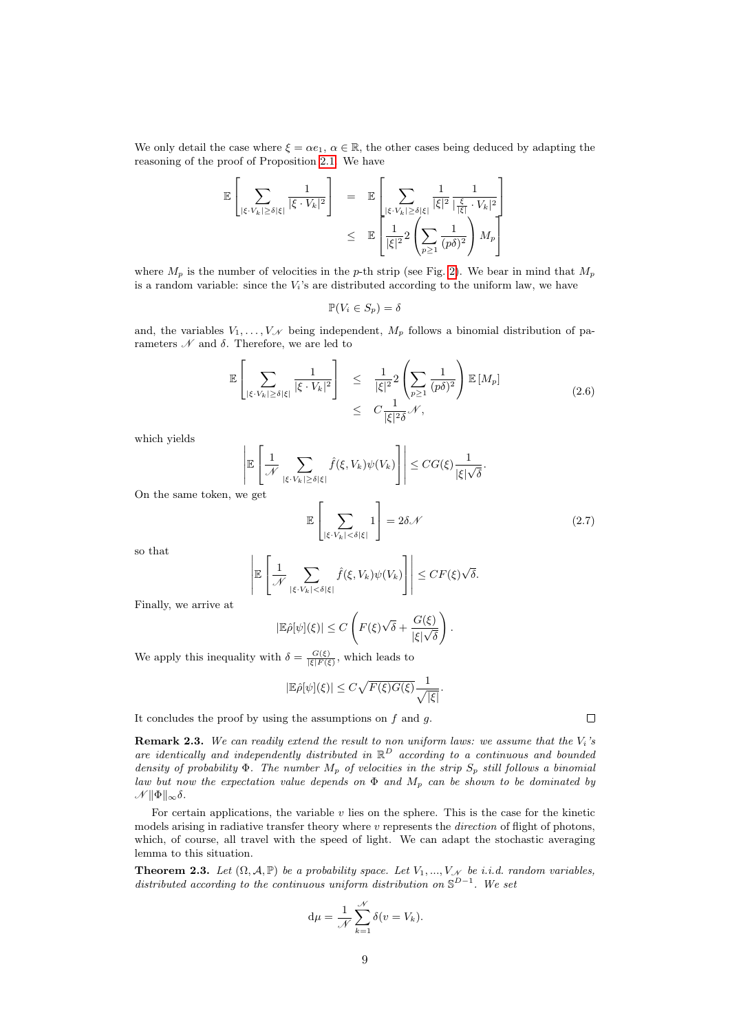We only detail the case where  $\xi = \alpha e_1, \alpha \in \mathbb{R}$ , the other cases being deduced by adapting the reasoning of the proof of Proposition [2.1.](#page-2-3) We have

$$
\begin{array}{rcl} \mathbb{E}\left[\sum\limits_{|\xi\cdot V_k|\geq\delta|\xi|}\frac{1}{|\xi\cdot V_k|^2}\right]&=&\mathbb{E}\left[\sum\limits_{|\xi\cdot V_k|\geq\delta|\xi|}\frac{1}{|\xi|^2}\frac{1}{|\frac{\xi}{|\xi|}\cdot V_k|^2}\right] \\ &\leq &\mathbb{E}\left[\frac{1}{|\xi|^2}2\left(\sum\limits_{p\geq 1}\frac{1}{(p\delta)^2}\right)M_p\right] \end{array}
$$

where  $M_p$  is the number of velocities in the p-th strip (see Fig. [2\)](#page-4-0). We bear in mind that  $M_p$ is a random variable: since the  $V_i$ 's are distributed according to the uniform law, we have

$$
\mathbb{P}(V_i \in S_p) = \delta
$$

and, the variables  $V_1, \ldots, V_{\mathcal{N}}$  being independent,  $M_p$  follows a binomial distribution of parameters  $\mathcal N$  and δ. Therefore, we are led to

<span id="page-8-1"></span>
$$
\mathbb{E}\left[\sum_{|\xi\cdot V_k|\geq \delta|\xi|}\frac{1}{|\xi\cdot V_k|^2}\right] \leq \frac{1}{|\xi|^2} 2\left(\sum_{p\geq 1}\frac{1}{(p\delta)^2}\right) \mathbb{E}\left[M_p\right] \leq C\frac{1}{|\xi|^2\delta}\mathcal{N},\tag{2.6}
$$

which yields

$$
\left| \mathbb{E} \left[ \frac{1}{\mathcal{N}} \sum_{|\xi \cdot V_k| \ge \delta |\xi|} \hat{f}(\xi, V_k) \psi(V_k) \right] \right| \le CG(\xi) \frac{1}{|\xi|\sqrt{\delta}}.
$$

On the same token, we get

<span id="page-8-0"></span>
$$
\mathbb{E}\left[\sum_{|\xi \cdot V_k| < \delta|\xi|} 1\right] = 2\delta \mathcal{N} \tag{2.7}
$$

so that

$$
\left| \mathbb{E} \left[ \frac{1}{\mathcal{N}} \sum_{|\xi \cdot V_k| < \delta |\xi|} \hat{f}(\xi, V_k) \psi(V_k) \right] \right| \leq C F(\xi) \sqrt{\delta}.
$$

Finally, we arrive at

$$
|\mathbb{E}\hat{\rho}[\psi](\xi)| \leq C \left( F(\xi)\sqrt{\delta} + \frac{G(\xi)}{|\xi|\sqrt{\delta}} \right).
$$

We apply this inequality with  $\delta = \frac{G(\xi)}{|\xi| F(\xi)}$ , which leads to

$$
|\mathbb{E}\hat{\rho}[\psi](\xi)| \le C\sqrt{F(\xi)G(\xi)}\frac{1}{\sqrt{|\xi|}}.
$$

It concludes the proof by using the assumptions on  $f$  and  $g$ .

**Remark 2.3.** We can readily extend the result to non uniform laws: we assume that the  $V_i$ 's are identically and independently distributed in  $\mathbb{R}^D$  according to a continuous and bounded density of probability  $\Phi$ . The number  $M_p$  of velocities in the strip  $S_p$  still follows a binomial law but now the expectation value depends on  $\Phi$  and  $M_p$  can be shown to be dominated by  $\mathcal{N} \|\Phi\|_{\infty} \delta.$ 

For certain applications, the variable  $v$  lies on the sphere. This is the case for the kinetic models arising in radiative transfer theory where  $v$  represents the *direction* of flight of photons, which, of course, all travel with the speed of light. We can adapt the stochastic averaging lemma to this situation.

<span id="page-8-2"></span>**Theorem 2.3.** Let  $(\Omega, \mathcal{A}, \mathbb{P})$  be a probability space. Let  $V_1, ..., V_N$  be i.i.d. random variables, distributed according to the continuous uniform distribution on  $\mathbb{S}^{D-1}$ . We set

$$
d\mu = \frac{1}{\mathcal{N}} \sum_{k=1}^{\mathcal{N}} \delta(v = V_k).
$$

 $\Box$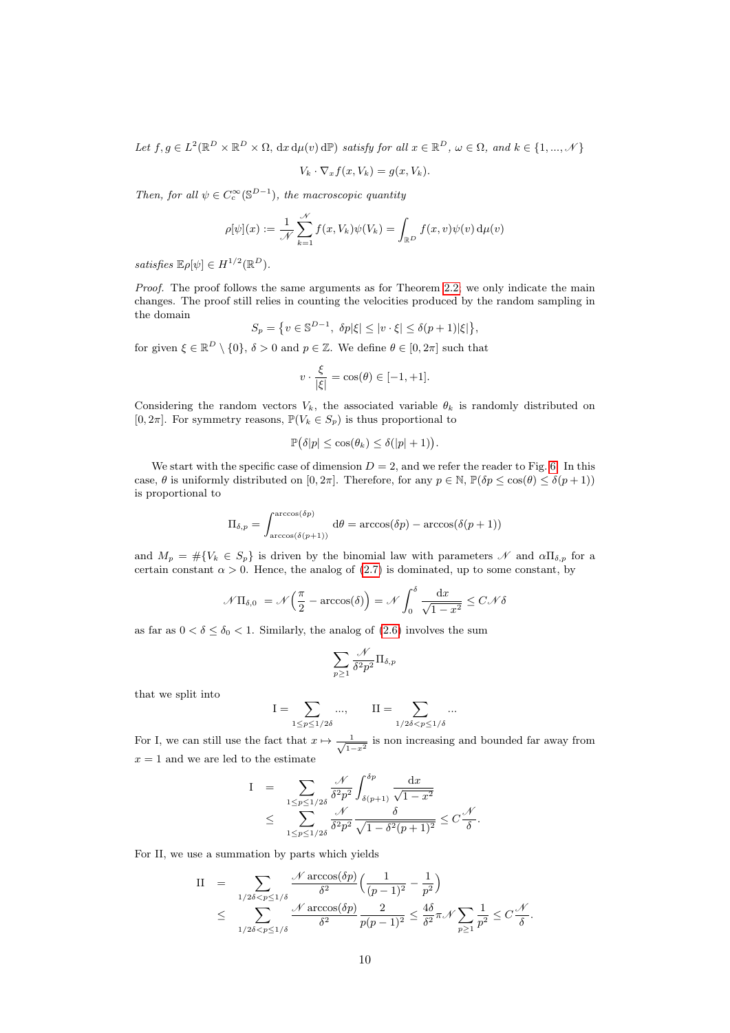Let  $f, g \in L^2(\mathbb{R}^D \times \mathbb{R}^D \times \Omega, dx d\mu(v) d\mathbb{P})$  satisfy for all  $x \in \mathbb{R}^D$ ,  $\omega \in \Omega$ , and  $k \in \{1, ..., \mathcal{N}\}\$ 

$$
V_k \cdot \nabla_x f(x, V_k) = g(x, V_k).
$$

Then, for all  $\psi \in C_c^{\infty}(\mathbb{S}^{D-1})$ , the macroscopic quantity

$$
\rho[\psi](x) := \frac{1}{\mathcal{N}} \sum_{k=1}^{\mathcal{N}} f(x, V_k) \psi(V_k) = \int_{\mathbb{R}^D} f(x, v) \psi(v) d\mu(v)
$$

satisfies  $\mathbb{E}\rho[\psi] \in H^{1/2}(\mathbb{R}^D)$ .

Proof. The proof follows the same arguments as for Theorem [2.2;](#page-7-1) we only indicate the main changes. The proof still relies in counting the velocities produced by the random sampling in the domain

$$
S_p = \{ v \in \mathbb{S}^{D-1}, \ \delta p |\xi| \le |v \cdot \xi| \le \delta(p+1)|\xi| \},\
$$

for given  $\xi \in \mathbb{R}^D \setminus \{0\}, \delta > 0$  and  $p \in \mathbb{Z}$ . We define  $\theta \in [0, 2\pi]$  such that

$$
v \cdot \frac{\xi}{|\xi|} = \cos(\theta) \in [-1, +1].
$$

Considering the random vectors  $V_k$ , the associated variable  $\theta_k$  is randomly distributed on  $[0, 2\pi]$ . For symmetry reasons,  $\mathbb{P}(V_k \in S_p)$  is thus proportional to

$$
\mathbb{P}(\delta|p| \leq \cos(\theta_k) \leq \delta(|p|+1)).
$$

We start with the specific case of dimension  $D = 2$ , and we refer the reader to Fig. [6.](#page-10-0) In this case,  $\theta$  is uniformly distributed on  $[0, 2\pi]$ . Therefore, for any  $p \in \mathbb{N}$ ,  $\mathbb{P}(\delta p \leq \cos(\theta) \leq \delta(p+1))$ is proportional to

$$
\Pi_{\delta,p} = \int_{\arccos(\delta(p+1))}^{\arccos(\delta p)} d\theta = \arccos(\delta p) - \arccos(\delta(p+1))
$$

and  $M_p = #{V_k \in S_p}$  is driven by the binomial law with parameters  $\mathcal N$  and  $\alpha \Pi_{\delta,p}$  for a certain constant  $\alpha > 0$ . Hence, the analog of [\(2.7\)](#page-8-0) is dominated, up to some constant, by

$$
\mathcal{N}\Pi_{\delta,0} = \mathcal{N}\left(\frac{\pi}{2} - \arccos(\delta)\right) = \mathcal{N}\int_0^\delta \frac{\mathrm{d}x}{\sqrt{1-x^2}} \le C\mathcal{N}\delta
$$

as far as  $0 < \delta \leq \delta_0 < 1$ . Similarly, the analog of [\(2.6\)](#page-8-1) involves the sum

$$
\sum_{p\geq 1}\frac{\mathscr{N}}{\delta^2 p^2}\Pi_{\delta,p}
$$

that we split into

$$
I = \sum_{1 \le p \le 1/2\delta} \dots, \qquad II = \sum_{1/2\delta < p \le 1/\delta} \dots
$$

For I, we can still use the fact that  $x \mapsto \frac{1}{\sqrt{1-x^2}}$  is non increasing and bounded far away from  $x = 1$  and we are led to the estimate

$$
I = \sum_{1 \le p \le 1/2\delta} \frac{\mathcal{N}}{\delta^2 p^2} \int_{\delta(p+1)}^{\delta p} \frac{dx}{\sqrt{1-x^2}}
$$
  
 
$$
\leq \sum_{1 \le p \le 1/2\delta} \frac{\mathcal{N}}{\delta^2 p^2} \frac{\delta}{\sqrt{1-\delta^2(p+1)^2}} \leq C \frac{\mathcal{N}}{\delta}.
$$

For II, we use a summation by parts which yields

$$
\begin{array}{rcl}\n\text{II} & = & \sum_{1/2\delta < p \le 1/\delta} \frac{\mathcal{N} \arccos(\delta p)}{\delta^2} \Big( \frac{1}{(p-1)^2} - \frac{1}{p^2} \Big) \\
& \le & \sum_{1/2\delta < p \le 1/\delta} \frac{\mathcal{N} \arccos(\delta p)}{\delta^2} \frac{2}{p(p-1)^2} \le \frac{4\delta}{\delta^2} \pi \mathcal{N} \sum_{p \ge 1} \frac{1}{p^2} \le C \frac{\mathcal{N}}{\delta}.\n\end{array}
$$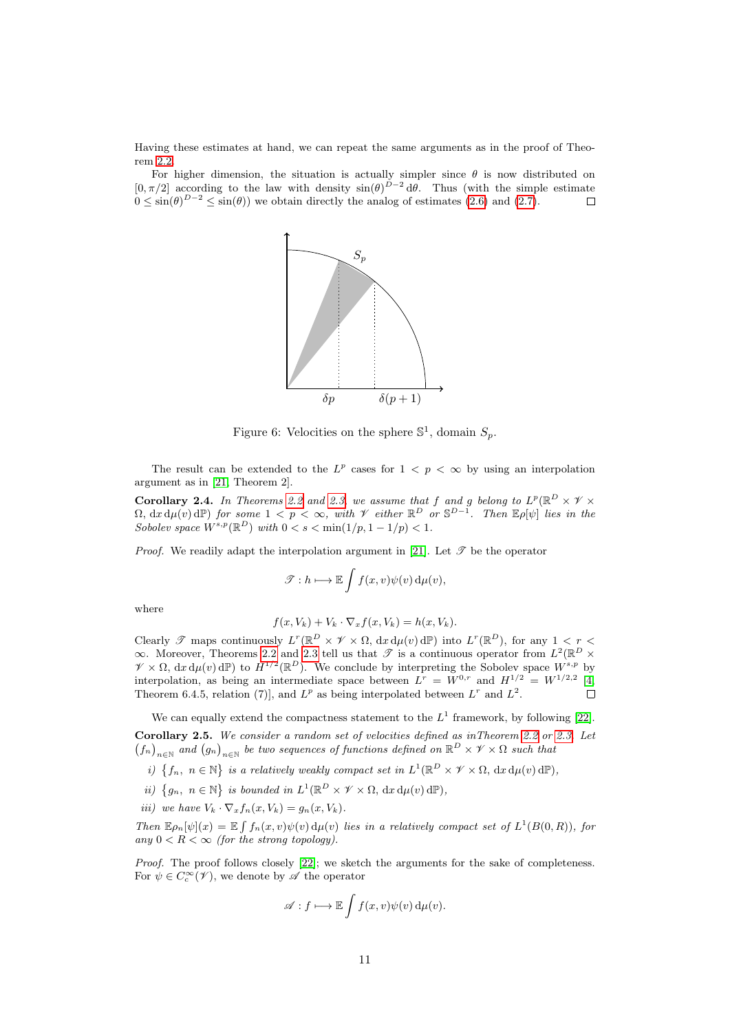Having these estimates at hand, we can repeat the same arguments as in the proof of Theorem [2.2.](#page-7-1)

For higher dimension, the situation is actually simpler since  $\theta$  is now distributed on  $[0, \pi/2]$  according to the law with density  $\sin(\theta)^{D-2} d\theta$ . Thus (with the simple estimate  $0 \leq \sin(\theta)^{D-2} \leq \sin(\theta)$  we obtain directly the analog of estimates [\(2.6\)](#page-8-1) and [\(2.7\)](#page-8-0).  $\Box$ 



<span id="page-10-0"></span>Figure 6: Velocities on the sphere  $\mathbb{S}^1$ , domain  $S_p$ .

The result can be extended to the  $L^p$  cases for  $1 < p < \infty$  by using an interpolation argument as in [\[21,](#page-20-1) Theorem 2].

**Corollary 2.4.** In Theorems [2.2](#page-7-1) and [2.3,](#page-8-2) we assume that f and g belong to  $L^p(\mathbb{R}^D \times \mathcal{V} \times$  $\Omega, dx d\mu(v) d\mathbb{P}$  for some  $1 < p < \infty$ , with  $\mathscr{V}$  either  $\mathbb{R}^D$  or  $\mathbb{S}^{D-1}$ . Then  $\mathbb{E} \rho[\psi]$  lies in the Sobolev space  $W^{s,p}(\mathbb{R}^D)$  with  $0 < s < \min(1/p, 1 - 1/p) < 1$ .

*Proof.* We readily adapt the interpolation argument in [\[21\]](#page-20-1). Let  $\mathscr T$  be the operator

$$
\mathscr{T}: h \longmapsto \mathbb{E} \int f(x,v) \psi(v) d\mu(v),
$$

where

$$
f(x, V_k) + V_k \cdot \nabla_x f(x, V_k) = h(x, V_k).
$$

Clearly  $\mathscr{T}$  maps continuously  $L^r(\mathbb{R}^D \times \mathscr{V} \times \Omega, dx d\mu(v) d\mathbb{P})$  into  $L^r(\mathbb{R}^D)$ , for any  $1 < r <$  $\infty$ . Moreover, Theorems [2.2](#page-7-1) and [2.3](#page-8-2) tell us that  $\mathscr{T}$  is a continuous operator from  $L^2(\mathbb{R}^D \times$  $\mathscr{V} \times \Omega$ ,  $dx d\mu(v) d\mathbb{P}$  to  $H^{1/2}(\mathbb{R}^D)$ . We conclude by interpreting the Sobolev space  $W^{s,p}$  by interpolation, as being an intermediate space between  $L^r = W^{0,r}$  and  $H^{1/2} = W^{1/2,2}$  [\[4,](#page-19-7) Theorem 6.4.5, relation (7)], and  $L^p$  as being interpolated between  $L^r$  and  $L^2$ .  $\Box$ 

We can equally extend the compactness statement to the  $L^1$  framework, by following [\[22\]](#page-20-3). Corollary 2.5. We consider a random set of velocities defined as in Theorem [2.2](#page-7-1) or [2.3.](#page-8-2) Let  $(f_n)_{n\in\mathbb{N}}$  and  $(g_n)_{n\in\mathbb{N}}$  be two sequences of functions defined on  $\mathbb{R}^D\times\mathscr{V}\times\Omega$  such that

- i)  $\{f_n, n \in \mathbb{N}\}\$ is a relatively weakly compact set in  $L^1(\mathbb{R}^D \times \mathcal{V} \times \Omega, dx d\mu(v) d\mathbb{P}),$
- ii)  $\{g_n, n \in \mathbb{N}\}\$ is bounded in  $L^1(\mathbb{R}^D \times \mathcal{V} \times \Omega, dx d\mu(v) d\mathbb{P})$ ,
- iii) we have  $V_k \cdot \nabla_x f_n(x, V_k) = g_n(x, V_k)$ .

Then  $\mathbb{E}\rho_n[\psi](x) = \mathbb{E}\int f_n(x,v)\psi(v) d\mu(v)$  lies in a relatively compact set of  $L^1(B(0,R))$ , for any  $0 < R < \infty$  (for the strong topology).

Proof. The proof follows closely [\[22\]](#page-20-3); we sketch the arguments for the sake of completeness. For  $\psi \in C_c^{\infty}(\mathscr{V})$ , we denote by  $\mathscr{A}$  the operator

$$
\mathscr{A}: f \longmapsto \mathbb{E} \int f(x,v) \psi(v) d\mu(v).
$$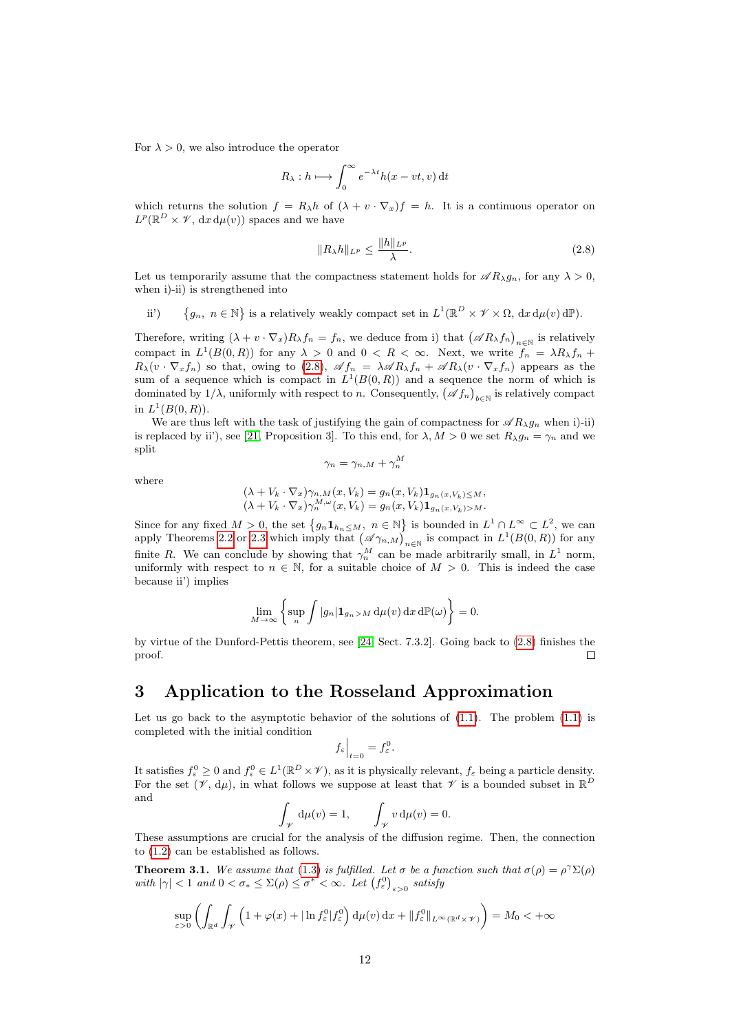For  $\lambda > 0$ , we also introduce the operator

$$
R_{\lambda}: h \longmapsto \int_0^{\infty} e^{-\lambda t} h(x - vt, v) dt
$$

which returns the solution  $f = R_{\lambda}h$  of  $(\lambda + v \cdot \nabla_x)f = h$ . It is a continuous operator on  $L^p(\mathbb{R}^D\times\mathscr{V},\,dx\,d\mu(v))$  spaces and we have

<span id="page-11-1"></span>
$$
||R_{\lambda}h||_{L^{p}} \le \frac{||h||_{L^{p}}}{\lambda}.
$$
\n(2.8)

Let us temporarily assume that the compactness statement holds for  $\mathscr{A}R_{\lambda}g_n$ , for any  $\lambda > 0$ , when i)-ii) is strengthened into

ii')  $g_n, n \in \mathbb{N}$  is a relatively weakly compact set in  $L^1(\mathbb{R}^D \times \mathcal{V} \times \Omega, dx d\mu(v) d\mathbb{P})$ .

Therefore, writing  $(\lambda + v \cdot \nabla_x) R_\lambda f_n = f_n$ , we deduce from i) that  $(\mathscr{A} R_\lambda f_n)_{n \in \mathbb{N}}$  is relatively compact in  $L^1(B(0,R))$  for any  $\lambda > 0$  and  $0 < R < \infty$ . Next, we write  $f_n = \lambda R_\lambda f_n +$  $R_\lambda(v\cdot\nabla_x f_n)$  so that, owing to [\(2.8\)](#page-11-1),  $\mathscr{A} f_n = \lambda \mathscr{A} R_\lambda f_n + \mathscr{A} R_\lambda(v\cdot\nabla_x f_n)$  appears as the sum of a sequence which is compact in  $L^1(B(0,R))$  and a sequence the norm of which is dominated by  $1/\lambda$ , uniformly with respect to *n*. Consequently,  $(\mathscr{A}_{fn})_{b \in \mathbb{N}}$  is relatively compact in  $L^1(B(0,R)).$ 

We are thus left with the task of justifying the gain of compactness for  $\mathscr{A}R_{\lambda}g_n$  when i)-ii) is replaced by ii'), see [\[21,](#page-20-1) Proposition 3]. To this end, for  $\lambda, M > 0$  we set  $R_{\lambda}g_n = \gamma_n$  and we split M

$$
\gamma_n=\gamma_{n,M}+\gamma_n^\Lambda
$$

where

$$
(\lambda + V_k \cdot \nabla_x)\gamma_{n,M}(x, V_k) = g_n(x, V_k)\mathbf{1}_{g_n(x, V_k) \leq M},
$$
  

$$
(\lambda + V_k \cdot \nabla_x)\gamma_n^{M,\omega}(x, V_k) = g_n(x, V_k)\mathbf{1}_{g_n(x, V_k) > M}.
$$

Since for any fixed  $M > 0$ , the set  $\{g_n \mathbf{1}_{h_n \leq M}, n \in \mathbb{N}\}\$ is bounded in  $L^1 \cap L^{\infty} \subset L^2$ , we can apply Theorems [2.2](#page-7-1) or [2.3](#page-8-2) which imply that  $(\mathscr{A}\gamma_{n,M})_{n\in\mathbb{N}}$  is compact in  $L^1(B(0,R))$  for any finite R. We can conclude by showing that  $\gamma_n^M$  can be made arbitrarily small, in  $L^1$  norm, uniformly with respect to  $n \in \mathbb{N}$ , for a suitable choice of  $M > 0$ . This is indeed the case because ii') implies

$$
\lim_{M \to \infty} \left\{ \sup_n \int |g_n| \mathbf{1}_{g_n > M} d\mu(v) dx d\mathbb{P}(\omega) \right\} = 0.
$$

by virtue of the Dunford-Pettis theorem, see [\[24,](#page-20-10) Sect. 7.3.2]. Going back to [\(2.8\)](#page-11-1) finishes the  $\Box$ proof.

# <span id="page-11-0"></span>3 Application to the Rosseland Approximation

Let us go back to the asymptotic behavior of the solutions of  $(1.1)$ . The problem  $(1.1)$  is completed with the initial condition

$$
f_{\varepsilon}\Big|_{t=0}=f_{\varepsilon}^0.
$$

It satisfies  $f_{\varepsilon}^0 \geq 0$  and  $f_{\varepsilon}^0 \in L^1(\mathbb{R}^D \times \mathcal{V})$ , as it is physically relevant,  $f_{\varepsilon}$  being a particle density. For the set  $(\mathscr{V}, d\mu)$ , in what follows we suppose at least that  $\mathscr{V}$  is a bounded subset in  $\mathbb{R}^D$ and

$$
\int_{\mathscr{V}} d\mu(v) = 1, \qquad \int_{\mathscr{V}} v d\mu(v) = 0.
$$

These assumptions are crucial for the analysis of the diffusion regime. Then, the connection to [\(1.2\)](#page-1-2) can be established as follows.

**Theorem 3.1.** We assume that [\(1.3\)](#page-1-0) is fulfilled. Let  $\sigma$  be a function such that  $\sigma(\rho) = \rho^{\gamma} \Sigma(\rho)$ with  $|\gamma| < 1$  and  $0 < \sigma_* \le \Sigma(\rho) \le \sigma^* < \infty$ . Let  $(f_{\varepsilon}^0)_{\varepsilon > 0}$  satisfy

$$
\sup_{\varepsilon>0}\left(\int_{\mathbb{R}^d}\int_{\mathcal{V}}\left(1+\varphi(x)+|\ln f_\varepsilon^0|f_\varepsilon^0\right)\mathrm{d}\mu(v)\,\mathrm{d}x+\|f_\varepsilon^0\|_{L^\infty(\mathbb{R}^d\times\mathcal{V})}\right)=M_0<+\infty
$$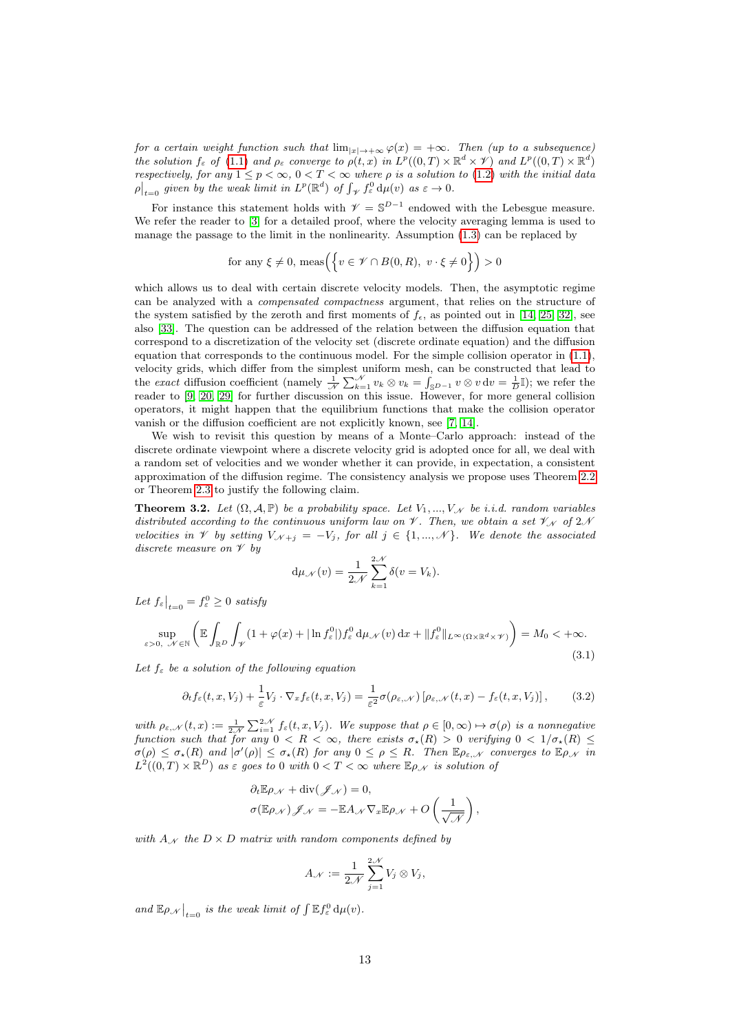for a certain weight function such that  $\lim_{|x|\to+\infty} \varphi(x) = +\infty$ . Then (up to a subsequence) the solution  $f_{\varepsilon}$  of [\(1.1\)](#page-1-1) and  $\rho_{\varepsilon}$  converge to  $\rho(t,x)$  in  $L^p((0,T)\times \mathbb{R}^d\times \mathscr{V})$  and  $L^p((0,T)\times \mathbb{R}^d)$ respectively, for any  $1 \leq p < \infty$ ,  $0 < T < \infty$  where  $\rho$  is a solution to [\(1.2\)](#page-1-2) with the initial data  $\rho|_{t=0}$  given by the weak limit in  $L^p(\mathbb{R}^d)$  of  $\int_{\mathscr{V}} f^0_{\varepsilon} d\mu(v)$  as  $\varepsilon \to 0$ .

For instance this statement holds with  $\mathcal{V} = \mathbb{S}^{D-1}$  endowed with the Lebesgue measure. We refer the reader to [\[3\]](#page-19-0) for a detailed proof, where the velocity averaging lemma is used to manage the passage to the limit in the nonlinearity. Assumption [\(1.3\)](#page-1-0) can be replaced by

for any 
$$
\xi \neq 0
$$
, meas $\left( \left\{ v \in \mathcal{V} \cap B(0,R), v \cdot \xi \neq 0 \right\} \right) > 0$ 

which allows us to deal with certain discrete velocity models. Then, the asymptotic regime can be analyzed with a compensated compactness argument, that relies on the structure of the system satisfied by the zeroth and first moments of  $f_{\epsilon}$ , as pointed out in [\[14,](#page-19-4) [25,](#page-20-6) [32\]](#page-20-7), see also [\[33\]](#page-20-11). The question can be addressed of the relation between the diffusion equation that correspond to a discretization of the velocity set (discrete ordinate equation) and the diffusion equation that corresponds to the continuous model. For the simple collision operator in [\(1.1\)](#page-1-1), velocity grids, which differ from the simplest uniform mesh, can be constructed that lead to the exact diffusion coefficient (namely  $\frac{1}{\mathcal{N}} \sum_{k=1}^{\mathcal{N}} v_k \otimes v_k = \int_{\mathbb{S}^{D-1}} v \otimes v \, dv = \frac{1}{D} \mathbb{I}$ ); we refer the reader to [\[9,](#page-19-8) [20,](#page-20-12) [29\]](#page-20-13) for further discussion on this issue. However, for more general collision operators, it might happen that the equilibrium functions that make the collision operator vanish or the diffusion coefficient are not explicitly known, see [\[7,](#page-19-9) [14\]](#page-19-4).

We wish to revisit this question by means of a Monte–Carlo approach: instead of the discrete ordinate viewpoint where a discrete velocity grid is adopted once for all, we deal with a random set of velocities and we wonder whether it can provide, in expectation, a consistent approximation of the diffusion regime. The consistency analysis we propose uses Theorem [2.2](#page-7-1) or Theorem [2.3](#page-8-2) to justify the following claim.

<span id="page-12-0"></span>**Theorem 3.2.** Let  $(\Omega, \mathcal{A}, \mathbb{P})$  be a probability space. Let  $V_1, ..., V_N$  be i.i.d. random variables distributed according to the continuous uniform law on  $\mathscr V$ . Then, we obtain a set  $\mathscr V_{\mathscr N}$  of  $2\mathscr N$ velocities in  $\mathscr V$  by setting  $V_{\mathscr N+j} = -V_j$ , for all  $j \in \{1, ..., \mathscr N\}$ . We denote the associated discrete measure on  $\mathscr V$  by

$$
d\mu_{\mathcal{N}}(v) = \frac{1}{2\mathcal{N}} \sum_{k=1}^{2\mathcal{N}} \delta(v = V_k).
$$

Let  $f_{\varepsilon}|_{t=0} = f_{\varepsilon}^0 \geq 0$  satisfy

<span id="page-12-1"></span>
$$
\sup_{\varepsilon>0, \ \mathcal{N}\in\mathbb{N}}\left(\mathbb{E}\int_{\mathbb{R}^D}\int_{\mathcal{V}}(1+\varphi(x)+|\ln f_{\varepsilon}^0|)f_{\varepsilon}^0\,\mathrm{d}\mu_{\mathcal{N}}(v)\,\mathrm{d}x+\|f_{\varepsilon}^0\|_{L^{\infty}(\Omega\times\mathbb{R}^d\times\mathcal{V})}\right)=M_0<+\infty.
$$
\n(3.1)

Let  $f_{\varepsilon}$  be a solution of the following equation

<span id="page-12-2"></span>
$$
\partial_t f_{\varepsilon}(t, x, V_j) + \frac{1}{\varepsilon} V_j \cdot \nabla_x f_{\varepsilon}(t, x, V_j) = \frac{1}{\varepsilon^2} \sigma(\rho_{\varepsilon, \mathcal{N}}) \left[ \rho_{\varepsilon, \mathcal{N}}(t, x) - f_{\varepsilon}(t, x, V_j) \right], \tag{3.2}
$$

with  $\rho_{\varepsilon,\mathcal{N}}(t,x) := \frac{1}{2\mathcal{N}} \sum_{i=1}^{2\mathcal{N}} f_{\varepsilon}(t,x,V_j)$ . We suppose that  $\rho \in [0,\infty) \mapsto \sigma(\rho)$  is a nonnegative function such that for any  $0 < R < \infty$ , there exists  $\sigma_{\star}(R) > 0$  verifying  $0 < 1/\sigma_{\star}(R) \le$  $\sigma(\rho) \leq \sigma_{\star}(R)$  and  $|\sigma'(\rho)| \leq \sigma_{\star}(R)$  for any  $0 \leq \rho \leq R$ . Then  $\mathbb{E}\rho_{\varepsilon,\mathcal{N}}$  converges to  $\mathbb{E}\rho_{\mathcal{N}}$  in  $L^2((0,T)\times \mathbb{R}^D)$  as  $\varepsilon$  goes to 0 with  $0 < T < \infty$  where  $\mathbb{E} \rho_{\mathcal{N}}$  is solution of

$$
\partial_t \mathbb{E} \rho_{\mathcal{N}} + \text{div}(\mathcal{J}_{\mathcal{N}}) = 0,
$$
  

$$
\sigma(\mathbb{E} \rho_{\mathcal{N}}) \mathcal{J}_{\mathcal{N}} = -\mathbb{E} A_{\mathcal{N}} \nabla_x \mathbb{E} \rho_{\mathcal{N}} + O\left(\frac{1}{\sqrt{\mathcal{N}}}\right),
$$

with  $A_{\mathcal{N}}$  the  $D \times D$  matrix with random components defined by

$$
A_{\mathscr{N}} := \frac{1}{2\mathscr{N}} \sum_{j=1}^{2\mathscr{N}} V_j \otimes V_j,
$$

and  $\mathbb{E}_{\rho_{\mathcal{N}}}\big|_{t=0}$  is the weak limit of  $\int \mathbb{E} f_{\varepsilon}^0 d\mu(v)$ .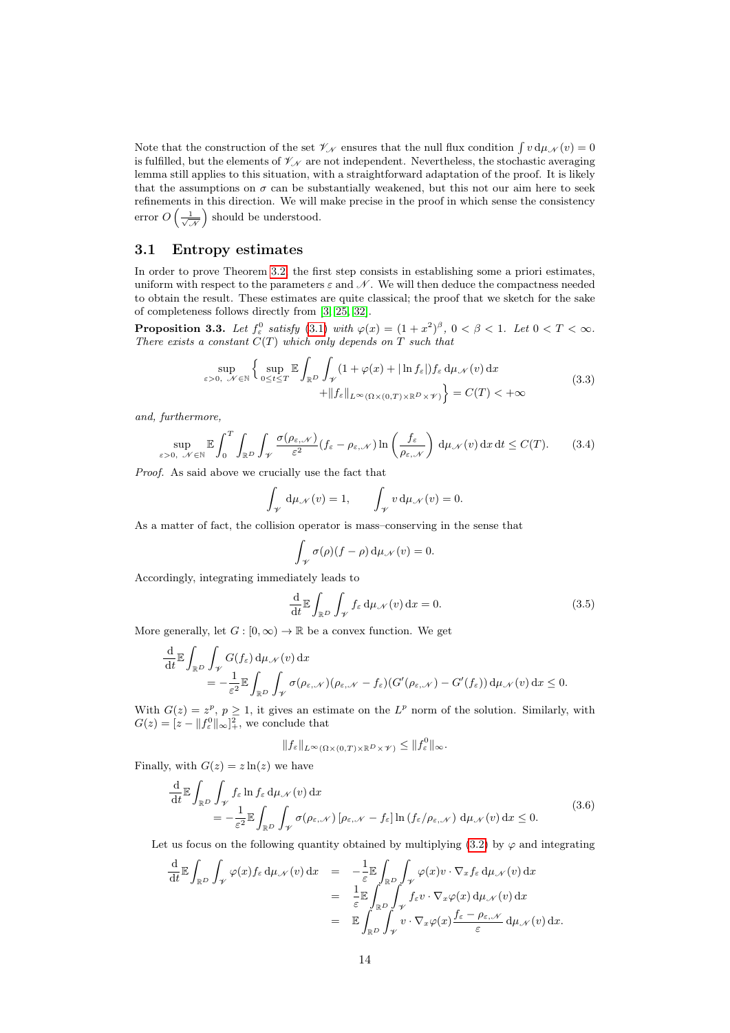Note that the construction of the set  $\mathcal{V}_{\mathcal{N}}$  ensures that the null flux condition  $\int v d\mu_{\mathcal{N}}(v) = 0$ is fulfilled, but the elements of  $\mathcal{V}_{\mathcal{N}}$  are not independent. Nevertheless, the stochastic averaging lemma still applies to this situation, with a straightforward adaptation of the proof. It is likely that the assumptions on  $\sigma$  can be substantially weakened, but this not our aim here to seek refinements in this direction. We will make precise in the proof in which sense the consistency error  $O\left(\frac{1}{\sqrt{\mathcal{N}}}\right)$  should be understood.

#### 3.1 Entropy estimates

In order to prove Theorem [3.2,](#page-12-0) the first step consists in establishing some a priori estimates, uniform with respect to the parameters  $\varepsilon$  and  $\mathcal N$ . We will then deduce the compactness needed to obtain the result. These estimates are quite classical; the proof that we sketch for the sake of completeness follows directly from [\[3,](#page-19-0) [25,](#page-20-6) [32\]](#page-20-7).

<span id="page-13-2"></span>**Proposition 3.3.** Let  $f_{\varepsilon}^0$  satisfy [\(3.1\)](#page-12-1) with  $\varphi(x) = (1 + x^2)^{\beta}$ ,  $0 < \beta < 1$ . Let  $0 < T < \infty$ . There exists a constant  $C(T)$  which only depends on T such that

<span id="page-13-3"></span>
$$
\sup_{\varepsilon>0, \ \mathcal{N}\in\mathbb{N}} \left\{ \sup_{0\leq t\leq T} \mathbb{E} \int_{\mathbb{R}^D} \int_{\mathcal{V}} (1+\varphi(x)+|\ln f_{\varepsilon}|) f_{\varepsilon} \,d\mu_{\mathcal{N}}(v) \,dx + \|f_{\varepsilon}\|_{L^{\infty}(\Omega \times (0,T) \times \mathbb{R}^D \times \mathcal{V})} \right\} = C(T) < +\infty
$$
\n(3.3)

and, furthermore,

<span id="page-13-1"></span>
$$
\sup_{\varepsilon>0, \ \mathcal{N}\in\mathbb{N}} \mathbb{E} \int_0^T \int_{\mathbb{R}^D} \int_{\mathcal{V}} \frac{\sigma(\rho_{\varepsilon,\mathcal{N}})}{\varepsilon^2} (f_{\varepsilon} - \rho_{\varepsilon,\mathcal{N}}) \ln \left( \frac{f_{\varepsilon}}{\rho_{\varepsilon,\mathcal{N}}} \right) d\mu_{\mathcal{N}}(v) dx dt \le C(T). \tag{3.4}
$$

Proof. As said above we crucially use the fact that

$$
\int_{\mathscr{V}} d\mu_{\mathscr{N}}(v) = 1, \qquad \int_{\mathscr{V}} v d\mu_{\mathscr{N}}(v) = 0.
$$

As a matter of fact, the collision operator is mass–conserving in the sense that

$$
\int_{\mathscr{V}} \sigma(\rho)(f-\rho) \, \mathrm{d}\mu_{\mathscr{N}}(v) = 0.
$$

Accordingly, integrating immediately leads to

$$
\frac{\mathrm{d}}{\mathrm{d}t} \mathbb{E} \int_{\mathbb{R}^D} \int_{\mathcal{V}} f_{\varepsilon} \, \mathrm{d}\mu_{\mathcal{N}}(v) \, \mathrm{d}x = 0. \tag{3.5}
$$

More generally, let  $G : [0, \infty) \to \mathbb{R}$  be a convex function. We get

$$
\frac{\mathrm{d}}{\mathrm{d}t} \mathbb{E} \int_{\mathbb{R}^D} \int_{\mathcal{V}} G(f_{\varepsilon}) \, \mathrm{d}\mu_{\mathcal{N}}(v) \, \mathrm{d}x \n= -\frac{1}{\varepsilon^2} \mathbb{E} \int_{\mathbb{R}^D} \int_{\mathcal{V}} \sigma(\rho_{\varepsilon,\mathcal{N}}) (\rho_{\varepsilon,\mathcal{N}} - f_{\varepsilon}) (G'(\rho_{\varepsilon,\mathcal{N}}) - G'(f_{\varepsilon})) \, \mathrm{d}\mu_{\mathcal{N}}(v) \, \mathrm{d}x \le 0.
$$

With  $G(z) = z^p$ ,  $p \ge 1$ , it gives an estimate on the  $L^p$  norm of the solution. Similarly, with  $G(z) = [z - ||f_{\varepsilon}^{0}||_{\infty}]_{+}^{2}$ , we conclude that

$$
||f_{\varepsilon}||_{L^{\infty}(\Omega\times(0,T)\times\mathbb{R}^D\times\mathcal{V})}\leq ||f_{\varepsilon}^0||_{\infty}.
$$

Finally, with  $G(z) = z \ln(z)$  we have

<span id="page-13-0"></span>
$$
\frac{\mathrm{d}}{\mathrm{d}t} \mathbb{E} \int_{\mathbb{R}^D} \int_{\mathcal{V}} f_{\varepsilon} \ln f_{\varepsilon} \, \mathrm{d}\mu_{\mathcal{N}}(v) \, \mathrm{d}x \n= -\frac{1}{\varepsilon^2} \mathbb{E} \int_{\mathbb{R}^D} \int_{\mathcal{V}} \sigma(\rho_{\varepsilon,\mathcal{N}}) \left[ \rho_{\varepsilon,\mathcal{N}} - f_{\varepsilon} \right] \ln \left( f_{\varepsilon} / \rho_{\varepsilon,\mathcal{N}} \right) \, \mathrm{d}\mu_{\mathcal{N}}(v) \, \mathrm{d}x \le 0.
$$
\n(3.6)

Let us focus on the following quantity obtained by multiplying  $(3.2)$  by  $\varphi$  and integrating

$$
\frac{d}{dt} \mathbb{E} \int_{\mathbb{R}^D} \int_{\mathcal{V}} \varphi(x) f_{\varepsilon} d\mu_{\mathcal{N}}(v) dx = -\frac{1}{\varepsilon} \mathbb{E} \int_{\mathbb{R}^D} \int_{\mathcal{V}} \varphi(x) v \cdot \nabla_x f_{\varepsilon} d\mu_{\mathcal{N}}(v) dx \n= \frac{1}{\varepsilon} \mathbb{E} \int_{\mathbb{R}^D} \int_{\mathcal{V}} f_{\varepsilon} v \cdot \nabla_x \varphi(x) d\mu_{\mathcal{N}}(v) dx \n= \mathbb{E} \int_{\mathbb{R}^D} \int_{\mathcal{V}} v \cdot \nabla_x \varphi(x) \frac{f_{\varepsilon} - \rho_{\varepsilon, \mathcal{N}}}{\varepsilon} d\mu_{\mathcal{N}}(v) dx.
$$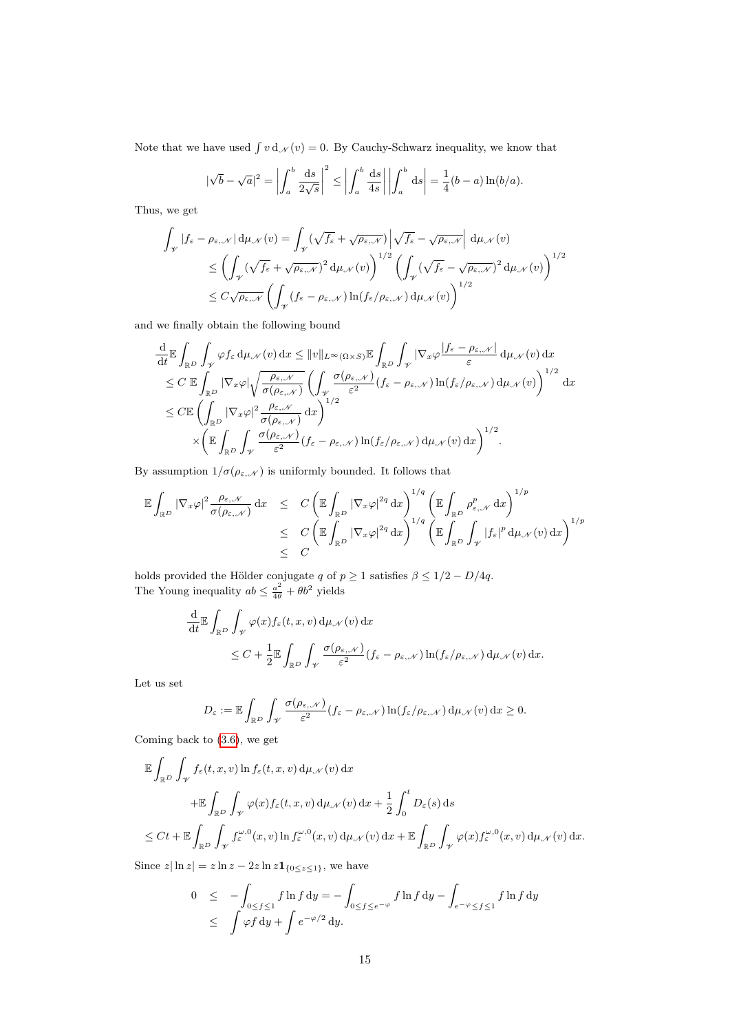Note that we have used  $\int v \, d \mathcal{N}(v) = 0$ . By Cauchy-Schwarz inequality, we know that

$$
|\sqrt{b} - \sqrt{a}|^2 = \left| \int_a^b \frac{ds}{2\sqrt{s}} \right|^2 \le \left| \int_a^b \frac{ds}{4s} \right| \left| \int_a^b ds \right| = \frac{1}{4}(b-a) \ln(b/a).
$$

Thus, we get

$$
\int_{\mathscr{V}} |f_{\varepsilon} - \rho_{\varepsilon,\mathscr{N}}| d\mu_{\mathscr{N}}(v) = \int_{\mathscr{V}} (\sqrt{f_{\varepsilon}} + \sqrt{\rho_{\varepsilon,\mathscr{N}}}) \left| \sqrt{f_{\varepsilon}} - \sqrt{\rho_{\varepsilon,\mathscr{N}}} \right| d\mu_{\mathscr{N}}(v)
$$
\n
$$
\leq \left( \int_{\mathscr{V}} (\sqrt{f_{\varepsilon}} + \sqrt{\rho_{\varepsilon,\mathscr{N}}})^2 d\mu_{\mathscr{N}}(v) \right)^{1/2} \left( \int_{\mathscr{V}} (\sqrt{f_{\varepsilon}} - \sqrt{\rho_{\varepsilon,\mathscr{N}}})^2 d\mu_{\mathscr{N}}(v) \right)^{1/2}
$$
\n
$$
\leq C \sqrt{\rho_{\varepsilon,\mathscr{N}}} \left( \int_{\mathscr{V}} (f_{\varepsilon} - \rho_{\varepsilon,\mathscr{N}}) \ln(f_{\varepsilon}/\rho_{\varepsilon,\mathscr{N}}) d\mu_{\mathscr{N}}(v) \right)^{1/2}
$$

and we finally obtain the following bound

$$
\frac{d}{dt} \mathbb{E} \int_{\mathbb{R}^D} \int_{\mathcal{V}} \varphi f_{\varepsilon} d\mu_{\mathcal{N}}(v) dx \leq \|v\|_{L^{\infty}(\Omega \times S)} \mathbb{E} \int_{\mathbb{R}^D} \int_{\mathcal{V}} |\nabla_x \varphi| \frac{|f_{\varepsilon} - \rho_{\varepsilon, \mathcal{N}}|}{\varepsilon} d\mu_{\mathcal{N}}(v) dx \n\leq C \mathbb{E} \int_{\mathbb{R}^D} |\nabla_x \varphi| \sqrt{\frac{\rho_{\varepsilon, \mathcal{N}}}{\sigma(\rho_{\varepsilon, \mathcal{N}})}} \left( \int_{\mathcal{V}} \frac{\sigma(\rho_{\varepsilon, \mathcal{N}})}{\varepsilon^2} (f_{\varepsilon} - \rho_{\varepsilon, \mathcal{N}}) \ln(f_{\varepsilon}/\rho_{\varepsilon, \mathcal{N}}) d\mu_{\mathcal{N}}(v) \right)^{1/2} dx \n\leq C \mathbb{E} \left( \int_{\mathbb{R}^D} |\nabla_x \varphi|^2 \frac{\rho_{\varepsilon, \mathcal{N}}}{\sigma(\rho_{\varepsilon, \mathcal{N}})} dx \right)^{1/2} \n\times \left( \mathbb{E} \int_{\mathbb{R}^D} \int_{\mathcal{V}} \frac{\sigma(\rho_{\varepsilon, \mathcal{N}})}{\varepsilon^2} (f_{\varepsilon} - \rho_{\varepsilon, \mathcal{N}}) \ln(f_{\varepsilon}/\rho_{\varepsilon, \mathcal{N}}) d\mu_{\mathcal{N}}(v) dx \right)^{1/2}.
$$

By assumption  $1/\sigma(\rho_{\varepsilon,\mathcal{N}})$  is uniformly bounded. It follows that

$$
\mathbb{E} \int_{\mathbb{R}^D} |\nabla_x \varphi|^2 \frac{\rho_{\varepsilon, \mathcal{N}}}{\sigma(\rho_{\varepsilon, \mathcal{N}})} dx \leq C \left( \mathbb{E} \int_{\mathbb{R}^D} |\nabla_x \varphi|^{2q} dx \right)^{1/q} \left( \mathbb{E} \int_{\mathbb{R}^D} \rho_{\varepsilon, \mathcal{N}}^p dx \right)^{1/p} \n\leq C \left( \mathbb{E} \int_{\mathbb{R}^D} |\nabla_x \varphi|^{2q} dx \right)^{1/q} \left( \mathbb{E} \int_{\mathbb{R}^D} \int_{\mathcal{V}} |f_{\varepsilon}|^p d\mu_{\mathcal{N}}(v) dx \right)^{1/p} \n\leq C
$$

holds provided the Hölder conjugate q of  $p \geq 1$  satisfies  $\beta \leq 1/2 - D/4q$ . The Young inequality  $ab \leq \frac{a^2}{4\theta} + \theta b^2$  yields

$$
\frac{\mathrm{d}}{\mathrm{d}t} \mathbb{E} \int_{\mathbb{R}^D} \int_{\mathcal{V}} \varphi(x) f_{\varepsilon}(t, x, v) \, \mathrm{d}\mu_{\mathcal{N}}(v) \, \mathrm{d}x \n\leq C + \frac{1}{2} \mathbb{E} \int_{\mathbb{R}^D} \int_{\mathcal{V}} \frac{\sigma(\rho_{\varepsilon, \mathcal{N}})}{\varepsilon^2} (f_{\varepsilon} - \rho_{\varepsilon, \mathcal{N}}) \ln(f_{\varepsilon}/\rho_{\varepsilon, \mathcal{N}}) \, \mathrm{d}\mu_{\mathcal{N}}(v) \, \mathrm{d}x.
$$

Let us set

$$
D_{\varepsilon} := \mathbb{E} \int_{\mathbb{R}^D} \int_{\mathcal{V}} \frac{\sigma(\rho_{\varepsilon,\mathcal{N}})}{\varepsilon^2} (f_{\varepsilon} - \rho_{\varepsilon,\mathcal{N}}) \ln(f_{\varepsilon}/\rho_{\varepsilon,\mathcal{N}}) d\mu_{\mathcal{N}}(v) dx \ge 0.
$$

Coming back to [\(3.6\)](#page-13-0), we get

$$
\mathbb{E} \int_{\mathbb{R}^D} \int_{\mathcal{V}} f_{\varepsilon}(t, x, v) \ln f_{\varepsilon}(t, x, v) d\mu_{\mathcal{N}}(v) dx \n+ \mathbb{E} \int_{\mathbb{R}^D} \int_{\mathcal{V}} \varphi(x) f_{\varepsilon}(t, x, v) d\mu_{\mathcal{N}}(v) dx + \frac{1}{2} \int_0^t D_{\varepsilon}(s) ds \n\leq Ct + \mathbb{E} \int_{\mathbb{R}^D} \int_{\mathcal{V}} f_{\varepsilon}^{\omega, 0}(x, v) \ln f_{\varepsilon}^{\omega, 0}(x, v) d\mu_{\mathcal{N}}(v) dx + \mathbb{E} \int_{\mathbb{R}^D} \int_{\mathcal{V}} \varphi(x) f_{\varepsilon}^{\omega, 0}(x, v) d\mu_{\mathcal{N}}(v) dx.
$$

Since  $z|\ln z| = z \ln z - 2z \ln z \mathbf{1}_{\{0 \le z \le 1\}},$  we have

$$
0 \le -\int_{0 \le f \le 1} f \ln f \, dy = -\int_{0 \le f \le e^{-\varphi}} f \ln f \, dy - \int_{e^{-\varphi} \le f \le 1} f \ln f \, dy
$$
  

$$
\le \int \varphi f \, dy + \int e^{-\varphi/2} \, dy.
$$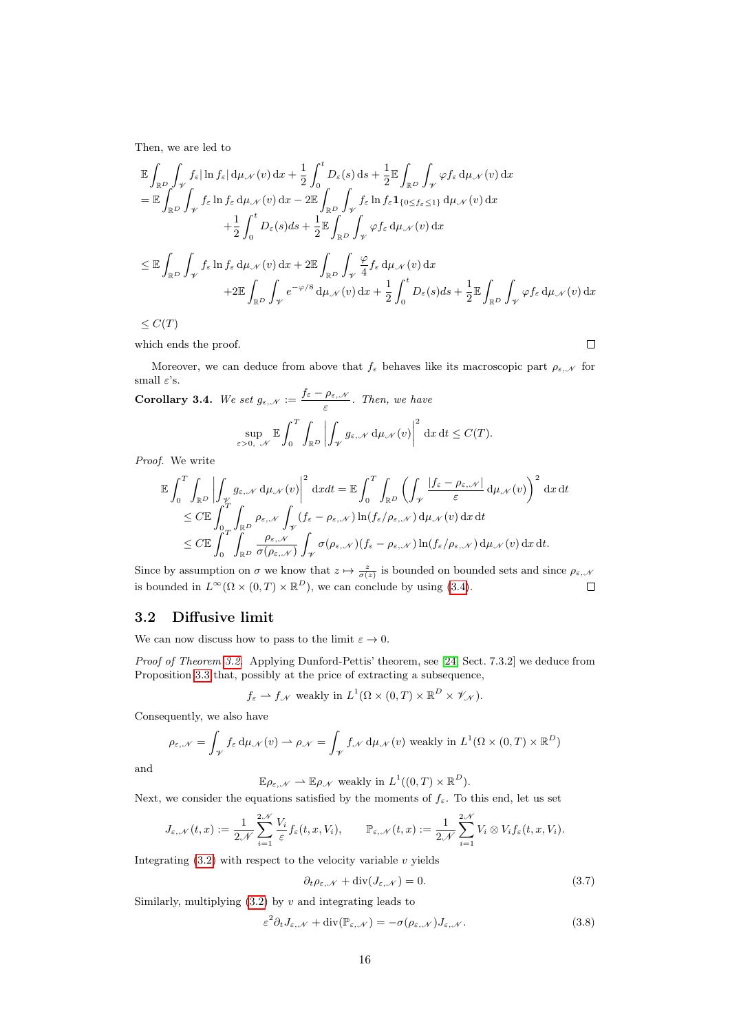Then, we are led to

$$
\mathbb{E} \int_{\mathbb{R}^D} \int_{\mathcal{V}} f_{\varepsilon} |\ln f_{\varepsilon}| d\mu_{\mathcal{N}}(v) dx + \frac{1}{2} \int_{0}^{t} D_{\varepsilon}(s) ds + \frac{1}{2} \mathbb{E} \int_{\mathbb{R}^D} \int_{\mathcal{V}} \varphi f_{\varepsilon} d\mu_{\mathcal{N}}(v) dx \n= \mathbb{E} \int_{\mathbb{R}^D} \int_{\mathcal{V}} f_{\varepsilon} \ln f_{\varepsilon} d\mu_{\mathcal{N}}(v) dx - 2 \mathbb{E} \int_{\mathbb{R}^D} \int_{\mathcal{V}} f_{\varepsilon} \ln f_{\varepsilon} 1_{\{0 \le f_{\varepsilon} \le 1\}} d\mu_{\mathcal{N}}(v) dx \n+ \frac{1}{2} \int_{0}^{t} D_{\varepsilon}(s) ds + \frac{1}{2} \mathbb{E} \int_{\mathbb{R}^D} \int_{\mathcal{V}} \varphi f_{\varepsilon} d\mu_{\mathcal{N}}(v) dx \n\le \mathbb{E} \int_{\mathbb{R}^D} \int_{\mathcal{V}} f_{\varepsilon} \ln f_{\varepsilon} d\mu_{\mathcal{N}}(v) dx + 2 \mathbb{E} \int_{\mathbb{R}^D} \int_{\mathcal{V}} \frac{\varphi}{4} f_{\varepsilon} d\mu_{\mathcal{N}}(v) dx \n+ 2 \mathbb{E} \int_{\mathbb{R}^D} \int_{\mathcal{V}} e^{-\varphi/8} d\mu_{\mathcal{N}}(v) dx + \frac{1}{2} \int_{0}^{t} D_{\varepsilon}(s) ds + \frac{1}{2} \mathbb{E} \int_{\mathbb{R}^D} \int_{\mathcal{V}} \varphi f_{\varepsilon} d\mu_{\mathcal{N}}(v) dx
$$

 $\leq C(T)$ 

which ends the proof.

Moreover, we can deduce from above that  $f_{\varepsilon}$  behaves like its macroscopic part  $\rho_{\varepsilon,\mathcal{N}}$  for small  $\varepsilon$ 's.

<span id="page-15-0"></span>**Corollary 3.4.** We set 
$$
g_{\varepsilon,\mathcal{N}} := \frac{f_{\varepsilon} - \rho_{\varepsilon,\mathcal{N}}}{\varepsilon}
$$
. Then, we have

$$
\sup_{\varepsilon>0, \ \mathcal{N}} \mathbb{E} \int_0^T \int_{\mathbb{R}^D} \left| \int_{\mathcal{V}} g_{\varepsilon, \mathcal{N}} \, \mathrm{d}\mu_{\mathcal{N}}(v) \right|^2 \, \mathrm{d}x \, \mathrm{d}t \le C(T).
$$

Proof. We write

$$
\mathbb{E} \int_0^T \int_{\mathbb{R}^D} \left| \int_{\mathcal{V}} g_{\varepsilon, \mathcal{N}} \, d\mu_{\mathcal{N}}(v) \right|^2 dx dt = \mathbb{E} \int_0^T \int_{\mathbb{R}^D} \left( \int_{\mathcal{V}} \frac{|f_{\varepsilon} - \rho_{\varepsilon, \mathcal{N}}|}{\varepsilon} \, d\mu_{\mathcal{N}}(v) \right)^2 dx dt
$$
  
\n
$$
\leq C \mathbb{E} \int_0^T \int_{\mathbb{R}^D} \rho_{\varepsilon, \mathcal{N}} \int_{\mathcal{V}} (f_{\varepsilon} - \rho_{\varepsilon, \mathcal{N}}) \ln(f_{\varepsilon}/\rho_{\varepsilon, \mathcal{N}}) \, d\mu_{\mathcal{N}}(v) dx dt
$$
  
\n
$$
\leq C \mathbb{E} \int_0^T \int_{\mathbb{R}^D} \frac{\rho_{\varepsilon, \mathcal{N}}}{\sigma(\rho_{\varepsilon, \mathcal{N}})} \int_{\mathcal{V}} \sigma(\rho_{\varepsilon, \mathcal{N}}) (f_{\varepsilon} - \rho_{\varepsilon, \mathcal{N}}) \ln(f_{\varepsilon}/\rho_{\varepsilon, \mathcal{N}}) \, d\mu_{\mathcal{N}}(v) dx dt.
$$

Since by assumption on  $\sigma$  we know that  $z \mapsto \frac{z}{\sigma(z)}$  is bounded on bounded sets and since  $\rho_{\varepsilon,\mathcal{N}}$ is bounded in  $L^{\infty}(\Omega \times (0,T) \times \mathbb{R}^D)$ , we can conclude by using [\(3.4\)](#page-13-1).  $\Box$ 

#### 3.2 Diffusive limit

We can now discuss how to pass to the limit  $\varepsilon \to 0$ .

Proof of Theorem [3.2.](#page-12-0) Applying Dunford-Pettis' theorem, see [\[24,](#page-20-10) Sect. 7.3.2] we deduce from Proposition [3.3](#page-13-2) that, possibly at the price of extracting a subsequence,

$$
f_{\varepsilon} \rightharpoonup f_{\mathscr{N}}
$$
 weakly in  $L^1(\Omega \times (0,T) \times \mathbb{R}^D \times \mathscr{V}_{\mathscr{N}}).$ 

Consequently, we also have

$$
\rho_{\varepsilon,\mathcal{N}} = \int_{\mathcal{V}} f_{\varepsilon} d\mu_{\mathcal{N}}(v) \rightharpoonup \rho_{\mathcal{N}} = \int_{\mathcal{V}} f_{\mathcal{N}} d\mu_{\mathcal{N}}(v) \text{ weakly in } L^1(\Omega \times (0,T) \times \mathbb{R}^D)
$$

and

 $\mathbb{E}\rho_{\varepsilon,\mathcal{N}} \rightharpoonup \mathbb{E}\rho_{\mathcal{N}}$  weakly in  $L^1((0,T)\times \mathbb{R}^D)$ .

Next, we consider the equations satisfied by the moments of  $f_{\varepsilon}$ . To this end, let us set

$$
J_{\varepsilon,\mathcal{N}}(t,x) := \frac{1}{2\mathcal{N}} \sum_{i=1}^{2\mathcal{N}} \frac{V_i}{\varepsilon} f_{\varepsilon}(t,x,V_i), \qquad \mathbb{P}_{\varepsilon,\mathcal{N}}(t,x) := \frac{1}{2\mathcal{N}} \sum_{i=1}^{2\mathcal{N}} V_i \otimes V_i f_{\varepsilon}(t,x,V_i).
$$

Integrating  $(3.2)$  with respect to the velocity variable v yields

<span id="page-15-2"></span>
$$
\partial_t \rho_{\varepsilon,\mathcal{N}} + \text{div}(J_{\varepsilon,\mathcal{N}}) = 0. \tag{3.7}
$$

Similarly, multiplying  $(3.2)$  by v and integrating leads to

<span id="page-15-1"></span>
$$
\varepsilon^2 \partial_t J_{\varepsilon,\mathcal{N}} + \text{div}(\mathbb{P}_{\varepsilon,\mathcal{N}}) = -\sigma(\rho_{\varepsilon,\mathcal{N}}) J_{\varepsilon,\mathcal{N}}.
$$
\n(3.8)

 $\Box$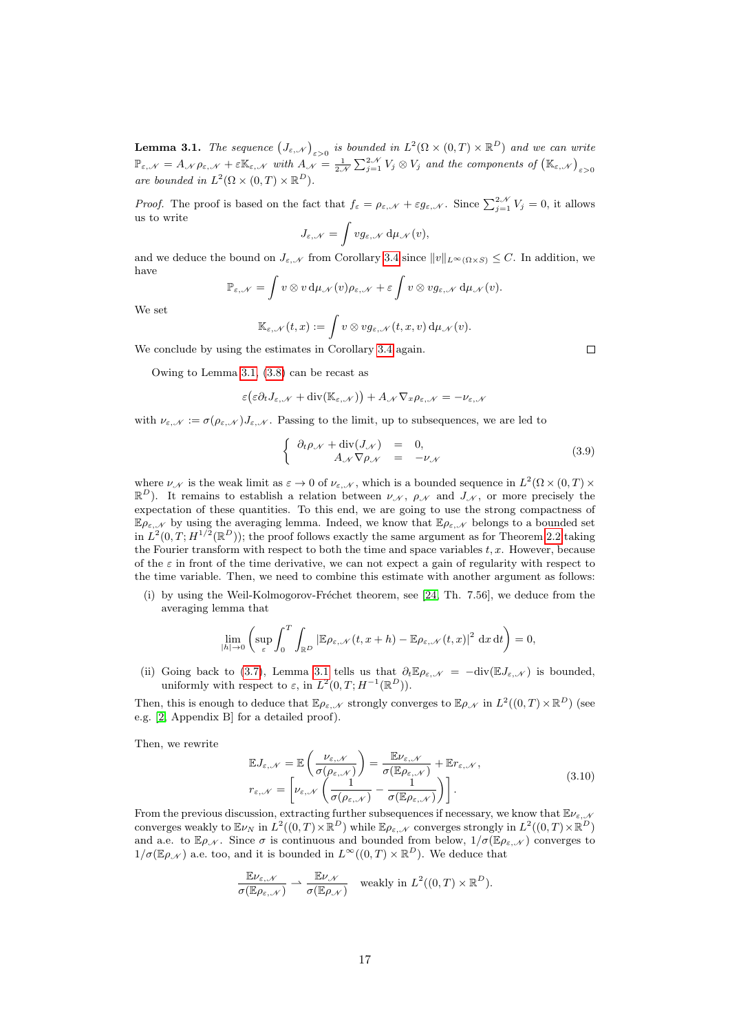<span id="page-16-0"></span>**Lemma 3.1.** The sequence  $(J_{\varepsilon,\mathcal{N}})_{\varepsilon>0}$  is bounded in  $L^2(\Omega \times (0,T) \times \mathbb{R}^D)$  and we can write  $\mathbb{P}_{\varepsilon,\mathcal{N}} = A_{\mathcal{N}} \rho_{\varepsilon,\mathcal{N}} + \varepsilon \mathbb{K}_{\varepsilon,\mathcal{N}}$  with  $A_{\mathcal{N}} = \frac{1}{2\mathcal{N}} \sum_{j=1}^{2\mathcal{N}} V_j \otimes V_j$  and the components of  $(\mathbb{K}_{\varepsilon,\mathcal{N}})_{\varepsilon>0}$ are bounded in  $L^2(\Omega \times (0,T) \times \mathbb{R}^D)$ .

*Proof.* The proof is based on the fact that  $f_{\varepsilon} = \rho_{\varepsilon,\mathcal{N}} + \varepsilon g_{\varepsilon,\mathcal{N}}$ . Since  $\sum_{j=1}^{2\mathcal{N}} V_j = 0$ , it allows us to write

$$
J_{\varepsilon,\mathcal{N}} = \int v g_{\varepsilon,\mathcal{N}} \, \mathrm{d}\mu_{\mathcal{N}}(v),
$$

and we deduce the bound on  $J_{\varepsilon,\mathcal{N}}$  from Corollary [3.4](#page-15-0) since  $||v||_{L^{\infty}(\Omega\times S)} \leq C$ . In addition, we have

$$
\mathbb{P}_{\varepsilon,\mathcal{N}} = \int v \otimes v \, \mathrm{d}\mu_{\mathcal{N}}(v) \rho_{\varepsilon,\mathcal{N}} + \varepsilon \int v \otimes v g_{\varepsilon,\mathcal{N}} \, \mathrm{d}\mu_{\mathcal{N}}(v).
$$

We set

$$
\mathbb{K}_{\varepsilon, \mathscr{N}}(t, x) := \int v \otimes v g_{\varepsilon, \mathscr{N}}(t, x, v) d\mu_{\mathscr{N}}(v).
$$

We conclude by using the estimates in Corollary [3.4](#page-15-0) again.

Owing to Lemma [3.1,](#page-16-0) [\(3.8\)](#page-15-1) can be recast as

$$
\varepsilon(\varepsilon \partial_t J_{\varepsilon,\mathcal{N}} + \text{div}(\mathbb{K}_{\varepsilon,\mathcal{N}})) + A_{\mathcal{N}} \nabla_x \rho_{\varepsilon,\mathcal{N}} = -\nu_{\varepsilon,\mathcal{N}}
$$

with  $\nu_{\varepsilon,\mathcal{N}} := \sigma(\rho_{\varepsilon,\mathcal{N}})J_{\varepsilon,\mathcal{N}}$ . Passing to the limit, up to subsequences, we are led to

<span id="page-16-2"></span>
$$
\begin{cases}\n\partial_t \rho_{\mathcal{N}} + \operatorname{div}(J_{\mathcal{N}}) &= 0, \\
A_{\mathcal{N}} \nabla \rho_{\mathcal{N}} &= -\nu_{\mathcal{N}}\n\end{cases}
$$
\n(3.9)

where  $\nu_{\mathscr{N}}$  is the weak limit as  $\varepsilon \to 0$  of  $\nu_{\varepsilon,\mathscr{N}}$ , which is a bounded sequence in  $L^2(\Omega \times (0,T) \times$  $\mathbb{R}^D$ ). It remains to establish a relation between  $\nu_{\mathcal{N}}$ ,  $\rho_{\mathcal{N}}$  and  $J_{\mathcal{N}}$ , or more precisely the expectation of these quantities. To this end, we are going to use the strong compactness of  $\mathbb{E}_{\rho_{\varepsilon,\mathcal{N}}}$  by using the averaging lemma. Indeed, we know that  $\mathbb{E}_{\rho_{\varepsilon,\mathcal{N}}}$  belongs to a bounded set in  $L^2(0,T;H^{1/2}(\mathbb{R}^D))$ ; the proof follows exactly the same argument as for Theorem [2.2](#page-7-1) taking the Fourier transform with respect to both the time and space variables  $t, x$ . However, because of the  $\varepsilon$  in front of the time derivative, we can not expect a gain of regularity with respect to the time variable. Then, we need to combine this estimate with another argument as follows:

(i) by using the Weil-Kolmogorov-Fréchet theorem, see  $[24, Th. 7.56]$  $[24, Th. 7.56]$ , we deduce from the averaging lemma that

$$
\lim_{|h| \to 0} \left( \sup_{\varepsilon} \int_0^T \int_{\mathbb{R}^D} |\mathbb{E} \rho_{\varepsilon,\mathcal{N}}(t, x + h) - \mathbb{E} \rho_{\varepsilon,\mathcal{N}}(t, x)|^2 \, dx \, dt \right) = 0,
$$

(ii) Going back to [\(3.7\)](#page-15-2), Lemma [3.1](#page-16-0) tells us that  $\partial_t \mathbb{E}_{\rho_{\varepsilon,\mathcal{N}}} = -\text{div}(\mathbb{E}J_{\varepsilon,\mathcal{N}})$  is bounded, uniformly with respect to  $\varepsilon$ , in  $L^2(0,T;H^{-1}(\mathbb{R}^D))$ .

Then, this is enough to deduce that  $\mathbb{E}\rho_{\varepsilon,\mathcal{N}}$  strongly converges to  $\mathbb{E}\rho_{\mathcal{N}}$  in  $L^2((0,T)\times\mathbb{R}^D)$  (see e.g. [\[2,](#page-19-10) Appendix B] for a detailed proof).

Then, we rewrite

<span id="page-16-1"></span>
$$
\mathbb{E}J_{\varepsilon,\mathcal{N}} = \mathbb{E}\left(\frac{\nu_{\varepsilon,\mathcal{N}}}{\sigma(\rho_{\varepsilon,\mathcal{N}})}\right) = \frac{\mathbb{E}\nu_{\varepsilon,\mathcal{N}}}{\sigma(\mathbb{E}\rho_{\varepsilon,\mathcal{N}})} + \mathbb{E}r_{\varepsilon,\mathcal{N}},
$$
\n
$$
r_{\varepsilon,\mathcal{N}} = \left[\nu_{\varepsilon,\mathcal{N}}\left(\frac{1}{\sigma(\rho_{\varepsilon,\mathcal{N}})} - \frac{1}{\sigma(\mathbb{E}\rho_{\varepsilon,\mathcal{N}})}\right)\right].
$$
\n(3.10)

From the previous discussion, extracting further subsequences if necessary, we know that  $\mathbb{E}\nu_{\varepsilon,\mathcal{N}}$ converges weakly to  $\mathbb{E} \nu_N$  in  $L^2((0,T) \times \mathbb{R}^D)$  while  $\mathbb{E} \rho_{\varepsilon,\mathcal{N}}$  converges strongly in  $L^2((0,T) \times \mathbb{R}^D)$ and a.e. to  $\mathbb{E}_{\rho,\mathcal{N}}$ . Since  $\sigma$  is continuous and bounded from below,  $1/\sigma(\mathbb{E}_{\rho,\mathcal{N}})$  converges to  $1/\sigma(\mathbb{E}\rho_{\mathcal{N}})$  a.e. too, and it is bounded in  $L^{\infty}((0,T)\times\mathbb{R}^D)$ . We deduce that

$$
\frac{\mathbb{E}\nu_{\varepsilon,\mathcal{N}}}{\sigma(\mathbb{E}\rho_{\varepsilon,\mathcal{N}})} \rightharpoonup \frac{\mathbb{E}\nu_{\mathcal{N}}}{\sigma(\mathbb{E}\rho_{\mathcal{N}})} \quad \text{weakly in } L^2((0,T) \times \mathbb{R}^D).
$$

 $\Box$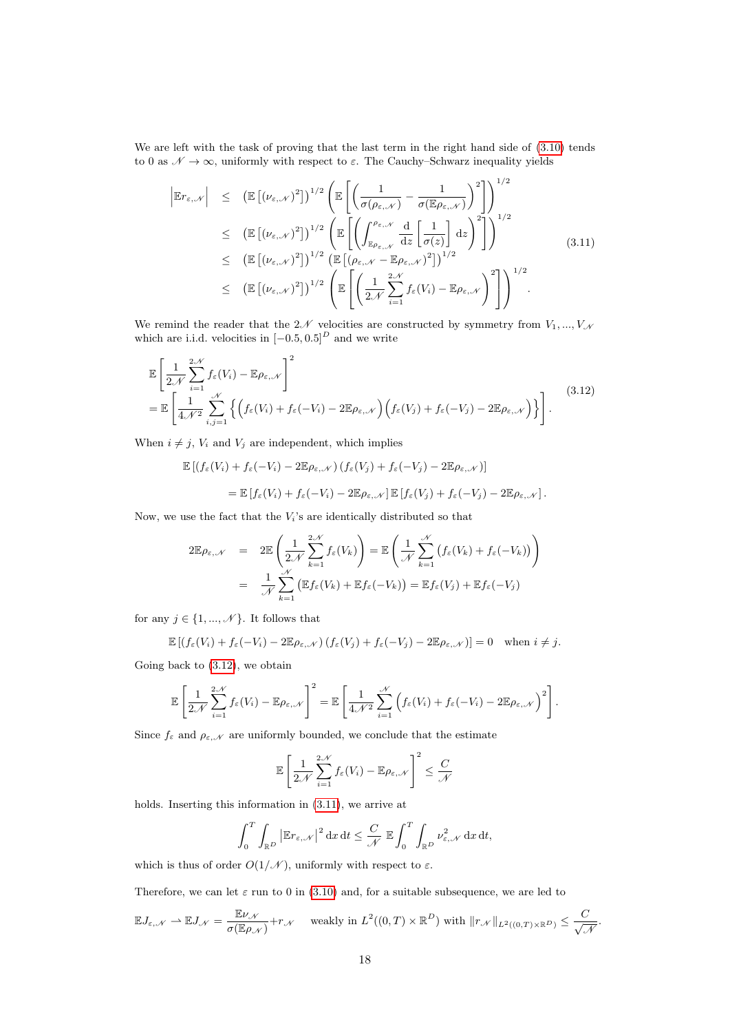We are left with the task of proving that the last term in the right hand side of [\(3.10\)](#page-16-1) tends to 0 as  $\mathcal{N} \to \infty$ , uniformly with respect to  $\varepsilon$ . The Cauchy–Schwarz inequality yields

<span id="page-17-1"></span>
$$
\begin{split}\n\left| \mathbb{E} r_{\varepsilon,\mathcal{N}} \right| &\leq \left( \mathbb{E} \left[ (\nu_{\varepsilon,\mathcal{N}})^2 \right] \right)^{1/2} \left( \mathbb{E} \left[ \left( \frac{1}{\sigma(\rho_{\varepsilon,\mathcal{N}})} - \frac{1}{\sigma(\mathbb{E}\rho_{\varepsilon,\mathcal{N}})} \right)^2 \right] \right)^{1/2} \\
&\leq \left( \mathbb{E} \left[ (\nu_{\varepsilon,\mathcal{N}})^2 \right] \right)^{1/2} \left( \mathbb{E} \left[ \left( \int_{\mathbb{E}\rho_{\varepsilon,\mathcal{N}}}^{\rho_{\varepsilon,\mathcal{N}}} \frac{d}{dz} \left[ \frac{1}{\sigma(z)} \right] dz \right)^2 \right] \right)^{1/2} \\
&\leq \left( \mathbb{E} \left[ (\nu_{\varepsilon,\mathcal{N}})^2 \right] \right)^{1/2} \left( \mathbb{E} \left[ (\rho_{\varepsilon,\mathcal{N}} - \mathbb{E}\rho_{\varepsilon,\mathcal{N}})^2 \right] \right)^{1/2} \\
&\leq \left( \mathbb{E} \left[ (\nu_{\varepsilon,\mathcal{N}})^2 \right] \right)^{1/2} \left( \mathbb{E} \left[ \left( \frac{1}{2\mathcal{N}} \sum_{i=1}^{2\mathcal{N}} f_{\varepsilon}(V_i) - \mathbb{E}\rho_{\varepsilon,\mathcal{N}} \right)^2 \right] \right)^{1/2} .\n\end{split} \tag{3.11}
$$

We remind the reader that the  $2\mathcal{N}$  velocities are constructed by symmetry from  $V_1, ..., V_{\mathcal{N}}$ which are i.i.d. velocities in  $[-0.5, 0.5]^D$  and we write

<span id="page-17-0"></span>
$$
\mathbb{E}\left[\frac{1}{2\mathcal{N}}\sum_{i=1}^{2\mathcal{N}}f_{\varepsilon}(V_{i}) - \mathbb{E}\rho_{\varepsilon,\mathcal{N}}\right]^{2}
$$
\n
$$
= \mathbb{E}\left[\frac{1}{4\mathcal{N}^{2}}\sum_{i,j=1}^{\mathcal{N}}\left\{\left(f_{\varepsilon}(V_{i}) + f_{\varepsilon}(-V_{i}) - 2\mathbb{E}\rho_{\varepsilon,\mathcal{N}}\right)\left(f_{\varepsilon}(V_{j}) + f_{\varepsilon}(-V_{j}) - 2\mathbb{E}\rho_{\varepsilon,\mathcal{N}}\right)\right\}\right].
$$
\n(3.12)

When  $i \neq j$ ,  $V_i$  and  $V_j$  are independent, which implies

$$
\mathbb{E}\left[\left(f_{\varepsilon}(V_i) + f_{\varepsilon}(-V_i) - 2\mathbb{E}\rho_{\varepsilon,\mathcal{N}}\right)\left(f_{\varepsilon}(V_j) + f_{\varepsilon}(-V_j) - 2\mathbb{E}\rho_{\varepsilon,\mathcal{N}}\right)\right]
$$
\n
$$
= \mathbb{E}\left[f_{\varepsilon}(V_i) + f_{\varepsilon}(-V_i) - 2\mathbb{E}\rho_{\varepsilon,\mathcal{N}}\right]\mathbb{E}\left[f_{\varepsilon}(V_j) + f_{\varepsilon}(-V_j) - 2\mathbb{E}\rho_{\varepsilon,\mathcal{N}}\right].
$$

Now, we use the fact that the  $V_i$ 's are identically distributed so that

$$
2\mathbb{E}\rho_{\varepsilon,\mathcal{N}} = 2\mathbb{E}\left(\frac{1}{2\mathcal{N}}\sum_{k=1}^{2\mathcal{N}}f_{\varepsilon}(V_k)\right) = \mathbb{E}\left(\frac{1}{\mathcal{N}}\sum_{k=1}^{\mathcal{N}}\left(f_{\varepsilon}(V_k) + f_{\varepsilon}(-V_k)\right)\right)
$$

$$
= \frac{1}{\mathcal{N}}\sum_{k=1}^{\mathcal{N}}\left(\mathbb{E}f_{\varepsilon}(V_k) + \mathbb{E}f_{\varepsilon}(-V_k)\right) = \mathbb{E}f_{\varepsilon}(V_j) + \mathbb{E}f_{\varepsilon}(-V_j)
$$

for any  $j \in \{1, ..., \mathcal{N}\}$ . It follows that

$$
\mathbb{E}\left[\left(f_{\varepsilon}(V_i) + f_{\varepsilon}(-V_i) - 2\mathbb{E}\rho_{\varepsilon,\mathcal{N}}\right)\left(f_{\varepsilon}(V_j) + f_{\varepsilon}(-V_j) - 2\mathbb{E}\rho_{\varepsilon,\mathcal{N}}\right)\right] = 0 \quad \text{when } i \neq j.
$$

Going back to [\(3.12\)](#page-17-0), we obtain

$$
\mathbb{E}\left[\frac{1}{2\mathcal{N}}\sum_{i=1}^{2\mathcal{N}}f_{\varepsilon}(V_i)-\mathbb{E}\rho_{\varepsilon,\mathcal{N}}\right]^2=\mathbb{E}\left[\frac{1}{4\mathcal{N}^2}\sum_{i=1}^{\mathcal{N}}\left(f_{\varepsilon}(V_i)+f_{\varepsilon}(-V_i)-2\mathbb{E}\rho_{\varepsilon,\mathcal{N}}\right)^2\right].
$$

Since  $f_\varepsilon$  and  $\rho_{\varepsilon,\mathcal{N}}$  are uniformly bounded, we conclude that the estimate

$$
\mathbb{E}\left[\frac{1}{2\mathcal{N}}\sum_{i=1}^{2\mathcal{N}}f_{\varepsilon}(V_i)-\mathbb{E}\rho_{\varepsilon,\mathcal{N}}\right]^2\leq\frac{C}{\mathcal{N}}
$$

holds. Inserting this information in [\(3.11\)](#page-17-1), we arrive at

$$
\int_0^T \int_{\mathbb{R}^D} |\mathbb{E} r_{\varepsilon,\mathcal{N}}|^2 \, \mathrm{d}x \, \mathrm{d}t \leq \frac{C}{\mathcal{N}} \, \mathbb{E} \int_0^T \int_{\mathbb{R}^D} \nu_{\varepsilon,\mathcal{N}}^2 \, \mathrm{d}x \, \mathrm{d}t,
$$

which is thus of order  $O(1/\mathcal{N})$ , uniformly with respect to  $\varepsilon$ .

Therefore, we can let  $\varepsilon$  run to 0 in [\(3.10\)](#page-16-1) and, for a suitable subsequence, we are led to

$$
\mathbb{E}J_{\varepsilon,\mathcal{N}} \rightharpoonup \mathbb{E}J_{\mathcal{N}} = \frac{\mathbb{E}\nu_{\mathcal{N}}}{\sigma(\mathbb{E}\rho_{\mathcal{N}})} + r_{\mathcal{N}} \quad \text{ weakly in } L^{2}((0,T) \times \mathbb{R}^{D}) \text{ with } \|r_{\mathcal{N}}\|_{L^{2}((0,T) \times \mathbb{R}^{D})} \leq \frac{C}{\sqrt{\mathcal{N}}}
$$

.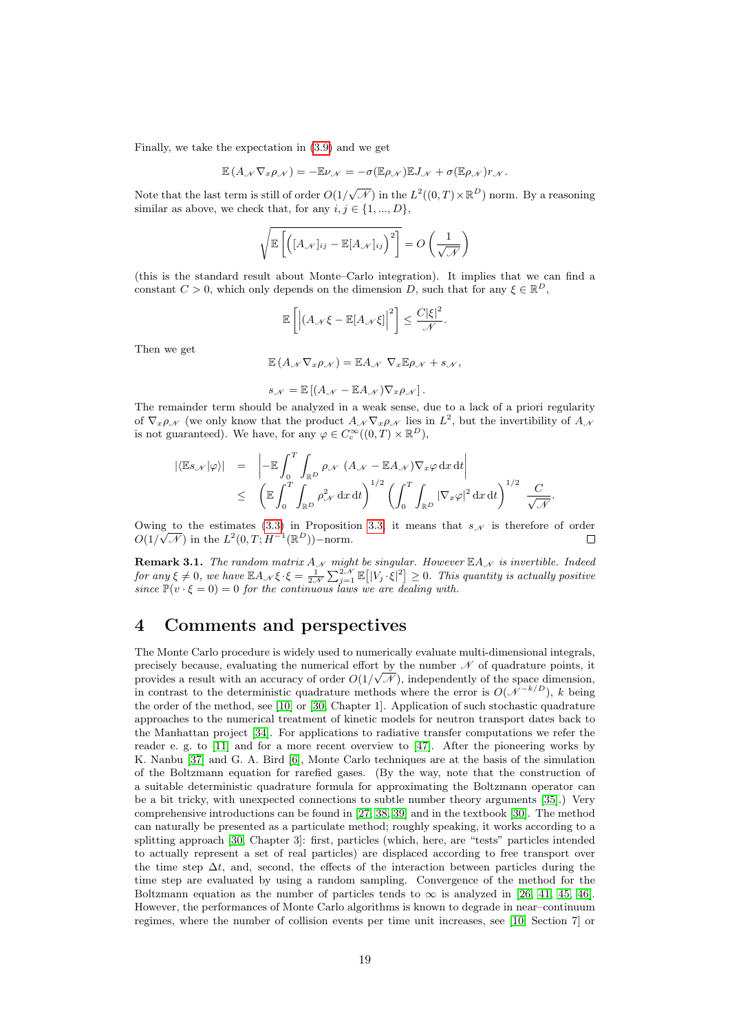Finally, we take the expectation in [\(3.9\)](#page-16-2) and we get

$$
\mathbb{E}(A_{\mathcal{N}}\nabla_x\rho_{\mathcal{N}})=-\mathbb{E}\nu_{\mathcal{N}}=-\sigma(\mathbb{E}\rho_{\mathcal{N}})\mathbb{E}J_{\mathcal{N}}+\sigma(\mathbb{E}\rho_{\mathcal{N}})r_{\mathcal{N}}.
$$

Note that the last term is still of order  $O(1/\sqrt{\mathscr{N}})$  in the  $L^2((0,T)\times\mathbb{R}^D)$  norm. By a reasoning similar as above, we check that, for any  $i, j \in \{1, ..., D\},\$ 

$$
\sqrt{\mathbb{E}\left[\left(\left[A_{\mathcal{N}}\right]_{ij}-\mathbb{E}[A_{\mathcal{N}}]_{ij}\right)^{2}\right]}=O\left(\frac{1}{\sqrt{\mathcal{N}}}\right)
$$

(this is the standard result about Monte–Carlo integration). It implies that we can find a constant  $C > 0$ , which only depends on the dimension D, such that for any  $\xi \in \mathbb{R}^D$ ,

$$
\mathbb{E}\left[\left|(A_\mathscr{N} \xi - \mathbb{E}[A_\mathscr{N} \xi]\right|^2\right] \leq \frac{C |\xi|^2}{\mathscr{N}}.
$$

Then we get

$$
\mathbb{E}\left(A_{\mathscr{N}}\nabla_{x}\rho_{\mathscr{N}}\right)=\mathbb{E}A_{\mathscr{N}}\ \nabla_{x}\mathbb{E}\rho_{\mathscr{N}}+s_{\mathscr{N}},
$$

$$
s_{\mathcal{N}} = \mathbb{E} \left[ (A_{\mathcal{N}} - \mathbb{E} A_{\mathcal{N}}) \nabla_x \rho_{\mathcal{N}} \right].
$$

The remainder term should be analyzed in a weak sense, due to a lack of a priori regularity of  $\nabla_x \rho_N$  (we only know that the product  $A_{\mathcal{N}} \nabla_x \rho_N$  lies in  $L^2$ , but the invertibility of  $A_{\mathcal{N}}$ is not guaranteed). We have, for any  $\varphi \in C_c^{\infty}((0,T) \times \mathbb{R}^D)$ ,

$$
\begin{array}{rcl}\n|\langle \mathbb{E}s_{\mathcal{N}}|\varphi\rangle| & = & \left| -\mathbb{E}\int_0^T \int_{\mathbb{R}^D} \rho_{\mathcal{N}} \left( A_{\mathcal{N}} - \mathbb{E} A_{\mathcal{N}} \right) \nabla_x \varphi \, \mathrm{d}x \, \mathrm{d}t \right| \\
& \leq & \left( \mathbb{E}\int_0^T \int_{\mathbb{R}^D} \rho_{\mathcal{N}}^2 \, \mathrm{d}x \, \mathrm{d}t \right)^{1/2} \left( \int_0^T \int_{\mathbb{R}^D} |\nabla_x \varphi|^2 \, \mathrm{d}x \, \mathrm{d}t \right)^{1/2} \frac{C}{\sqrt{\mathcal{N}}}.\n\end{array}
$$

Owing to the estimates [\(3.3\)](#page-13-3) in Proposition [3.3,](#page-13-2) it means that  $s_N$  is therefore of order  $O(1/\sqrt{\mathscr{N}})$  in the  $L^2(0,T;H^{-1}(\mathbb{R}^D))$ -norm.  $\Box$ 

**Remark 3.1.** The random matrix  $A_{\mathcal{N}}$  might be singular. However  $\mathbb{E} A_{\mathcal{N}}$  is invertible. Indeed for any  $\xi \neq 0$ , we have  $\mathbb{E} A_{\mathscr{N}} \xi \cdot \xi = \frac{1}{2\mathscr{N}} \sum_{j=1}^{2\mathscr{N}} \mathbb{E} \big[ |V_j \cdot \xi|^2 \big] \geq 0$ . This quantity is actually positive since  $\mathbb{P}(v \cdot \xi = 0) = 0$  for the continuous laws we are dealing with.

# 4 Comments and perspectives

The Monte Carlo procedure is widely used to numerically evaluate multi-dimensional integrals, precisely because, evaluating the numerical effort by the number  $\mathcal N$  of quadrature points, it provides a result with an accuracy of order  $O(1/\sqrt{\mathcal{N}})$ , independently of the space dimension, in contrast to the deterministic quadrature methods where the error is  $O(\sqrt{1-k/D})$ , k being the order of the method, see [\[10\]](#page-19-11) or [\[30,](#page-20-14) Chapter 1]. Application of such stochastic quadrature approaches to the numerical treatment of kinetic models for neutron transport dates back to the Manhattan project [\[34\]](#page-20-15). For applications to radiative transfer computations we refer the reader e. g. to [\[11\]](#page-19-12) and for a more recent overview to [\[47\]](#page-21-4). After the pioneering works by K. Nanbu [\[37\]](#page-20-16) and G. A. Bird [\[6\]](#page-19-13), Monte Carlo techniques are at the basis of the simulation of the Boltzmann equation for rarefied gases. (By the way, note that the construction of a suitable deterministic quadrature formula for approximating the Boltzmann operator can be a bit tricky, with unexpected connections to subtle number theory arguments [\[35\]](#page-20-17).) Very comprehensive introductions can be found in [\[27,](#page-20-18) [38,](#page-20-19) [39\]](#page-21-5) and in the textbook [\[30\]](#page-20-14). The method can naturally be presented as a particulate method; roughly speaking, it works according to a splitting approach [\[30,](#page-20-14) Chapter 3]: first, particles (which, here, are "tests" particles intended to actually represent a set of real particles) are displaced according to free transport over the time step  $\Delta t$ , and, second, the effects of the interaction between particles during the time step are evaluated by using a random sampling. Convergence of the method for the Boltzmann equation as the number of particles tends to  $\infty$  is analyzed in [\[26,](#page-20-20) [41,](#page-21-6) [45,](#page-21-7) [46\]](#page-21-8). However, the performances of Monte Carlo algorithms is known to degrade in near–continuum regimes, where the number of collision events per time unit increases, see [\[10,](#page-19-11) Section 7] or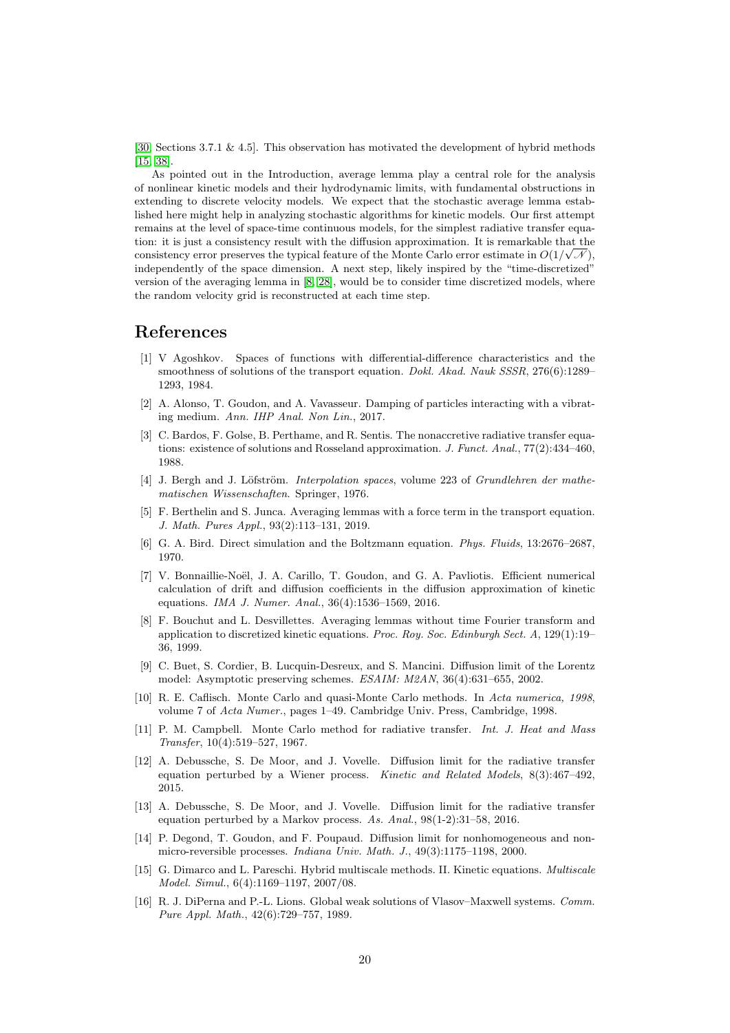[\[30,](#page-20-14) Sections 3.7.1  $\&$  4.5]. This observation has motivated the development of hybrid methods [\[15,](#page-19-14) [38\]](#page-20-19).

As pointed out in the Introduction, average lemma play a central role for the analysis of nonlinear kinetic models and their hydrodynamic limits, with fundamental obstructions in extending to discrete velocity models. We expect that the stochastic average lemma established here might help in analyzing stochastic algorithms for kinetic models. Our first attempt remains at the level of space-time continuous models, for the simplest radiative transfer equation: it is just a consistency result with the diffusion approximation. It is remarkable that the consistency error preserves the typical feature of the Monte Carlo error estimate in  $O(1/\sqrt{\mathcal{N}})$ , independently of the space dimension. A next step, likely inspired by the "time-discretized" version of the averaging lemma in [\[8,](#page-19-15) [28\]](#page-20-21), would be to consider time discretized models, where the random velocity grid is reconstructed at each time step.

# <span id="page-19-1"></span>References

- [1] V Agoshkov. Spaces of functions with differential-difference characteristics and the smoothness of solutions of the transport equation. Dokl. Akad. Nauk SSSR, 276(6):1289-1293, 1984.
- <span id="page-19-10"></span>[2] A. Alonso, T. Goudon, and A. Vavasseur. Damping of particles interacting with a vibrating medium. Ann. IHP Anal. Non Lin., 2017.
- <span id="page-19-0"></span>[3] C. Bardos, F. Golse, B. Perthame, and R. Sentis. The nonaccretive radiative transfer equations: existence of solutions and Rosseland approximation. J. Funct. Anal., 77(2):434–460, 1988.
- <span id="page-19-7"></span>[4] J. Bergh and J. Löfström. Interpolation spaces, volume 223 of Grundlehren der mathematischen Wissenschaften. Springer, 1976.
- <span id="page-19-2"></span>[5] F. Berthelin and S. Junca. Averaging lemmas with a force term in the transport equation. J. Math. Pures Appl., 93(2):113–131, 2019.
- <span id="page-19-13"></span>[6] G. A. Bird. Direct simulation and the Boltzmann equation. Phys. Fluids, 13:2676–2687, 1970.
- <span id="page-19-9"></span>[7] V. Bonnaillie-Noël, J. A. Carillo, T. Goudon, and G. A. Pavliotis. Efficient numerical calculation of drift and diffusion coefficients in the diffusion approximation of kinetic equations. IMA J. Numer. Anal., 36(4):1536–1569, 2016.
- <span id="page-19-15"></span>[8] F. Bouchut and L. Desvillettes. Averaging lemmas without time Fourier transform and application to discretized kinetic equations. Proc. Roy. Soc. Edinburgh Sect. A, 129(1):19– 36, 1999.
- <span id="page-19-8"></span>[9] C. Buet, S. Cordier, B. Lucquin-Desreux, and S. Mancini. Diffusion limit of the Lorentz model: Asymptotic preserving schemes. ESAIM: M2AN, 36(4):631–655, 2002.
- <span id="page-19-11"></span>[10] R. E. Caflisch. Monte Carlo and quasi-Monte Carlo methods. In Acta numerica, 1998, volume 7 of Acta Numer., pages 1–49. Cambridge Univ. Press, Cambridge, 1998.
- <span id="page-19-12"></span>[11] P. M. Campbell. Monte Carlo method for radiative transfer. Int. J. Heat and Mass Transfer, 10(4):519–527, 1967.
- <span id="page-19-5"></span>[12] A. Debussche, S. De Moor, and J. Vovelle. Diffusion limit for the radiative transfer equation perturbed by a Wiener process. Kinetic and Related Models, 8(3):467–492, 2015.
- <span id="page-19-6"></span>[13] A. Debussche, S. De Moor, and J. Vovelle. Diffusion limit for the radiative transfer equation perturbed by a Markov process. As. Anal., 98(1-2):31–58, 2016.
- <span id="page-19-4"></span>[14] P. Degond, T. Goudon, and F. Poupaud. Diffusion limit for nonhomogeneous and nonmicro-reversible processes. Indiana Univ. Math. J., 49(3):1175–1198, 2000.
- <span id="page-19-14"></span>[15] G. Dimarco and L. Pareschi. Hybrid multiscale methods. II. Kinetic equations. Multiscale Model. Simul., 6(4):1169–1197, 2007/08.
- <span id="page-19-3"></span>[16] R. J. DiPerna and P.-L. Lions. Global weak solutions of Vlasov–Maxwell systems. Comm. Pure Appl. Math., 42(6):729–757, 1989.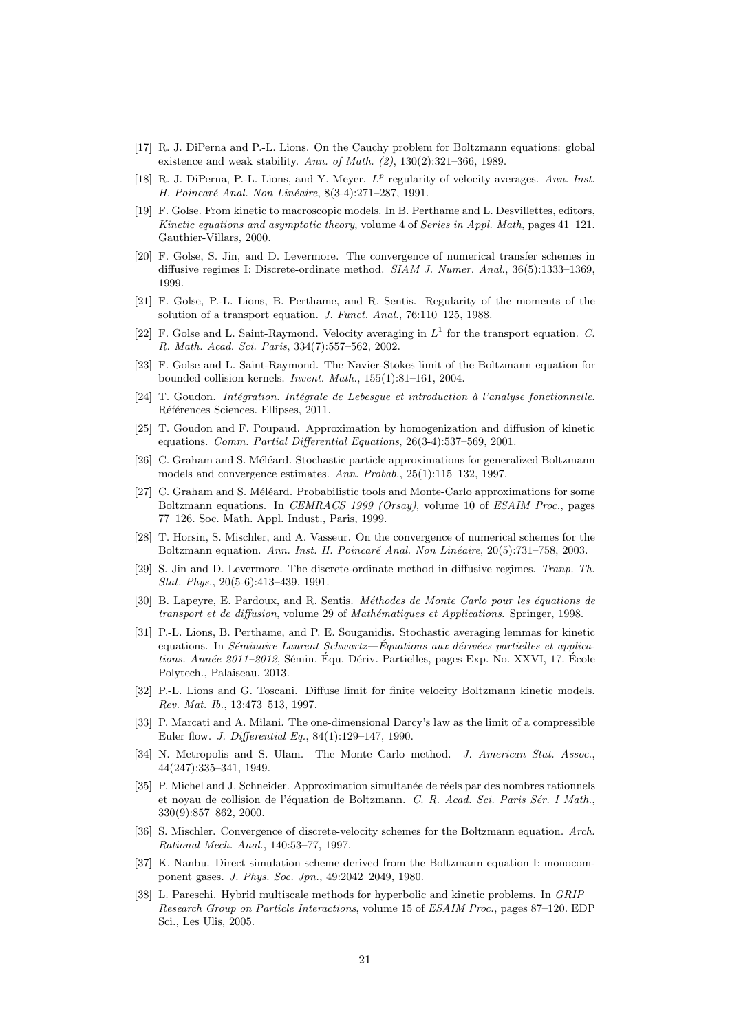- <span id="page-20-2"></span>[17] R. J. DiPerna and P.-L. Lions. On the Cauchy problem for Boltzmann equations: global existence and weak stability. Ann. of Math.  $(2)$ , 130 $(2)$ :321-366, 1989.
- <span id="page-20-0"></span>[18] R. J. DiPerna, P.-L. Lions, and Y. Meyer.  $L^p$  regularity of velocity averages. Ann. Inst. H. Poincaré Anal. Non Linéaire, 8(3-4):271–287, 1991.
- <span id="page-20-5"></span>[19] F. Golse. From kinetic to macroscopic models. In B. Perthame and L. Desvillettes, editors, Kinetic equations and asymptotic theory, volume 4 of Series in Appl. Math, pages 41–121. Gauthier-Villars, 2000.
- <span id="page-20-12"></span>[20] F. Golse, S. Jin, and D. Levermore. The convergence of numerical transfer schemes in diffusive regimes I: Discrete-ordinate method. SIAM J. Numer. Anal., 36(5):1333–1369, 1999.
- <span id="page-20-1"></span>[21] F. Golse, P.-L. Lions, B. Perthame, and R. Sentis. Regularity of the moments of the solution of a transport equation. J. Funct. Anal., 76:110–125, 1988.
- <span id="page-20-3"></span>[22] F. Golse and L. Saint-Raymond. Velocity averaging in  $L^1$  for the transport equation. C. R. Math. Acad. Sci. Paris, 334(7):557–562, 2002.
- <span id="page-20-4"></span>[23] F. Golse and L. Saint-Raymond. The Navier-Stokes limit of the Boltzmann equation for bounded collision kernels. Invent. Math., 155(1):81–161, 2004.
- <span id="page-20-10"></span> $[24]$  T. Goudon. Intégration. Intégrale de Lebesgue et introduction à l'analyse fonctionnelle. Références Sciences. Ellipses, 2011.
- <span id="page-20-6"></span>[25] T. Goudon and F. Poupaud. Approximation by homogenization and diffusion of kinetic equations. Comm. Partial Differential Equations, 26(3-4):537–569, 2001.
- <span id="page-20-20"></span>[26] C. Graham and S. Méléard. Stochastic particle approximations for generalized Boltzmann models and convergence estimates. Ann. Probab., 25(1):115–132, 1997.
- <span id="page-20-18"></span>[27] C. Graham and S. Méléard. Probabilistic tools and Monte-Carlo approximations for some Boltzmann equations. In CEMRACS 1999 (Orsay), volume 10 of ESAIM Proc., pages 77–126. Soc. Math. Appl. Indust., Paris, 1999.
- <span id="page-20-21"></span>[28] T. Horsin, S. Mischler, and A. Vasseur. On the convergence of numerical schemes for the Boltzmann equation. Ann. Inst. H. Poincaré Anal. Non Linéaire, 20(5):731–758, 2003.
- <span id="page-20-13"></span>[29] S. Jin and D. Levermore. The discrete-ordinate method in diffusive regimes. Tranp. Th. Stat. Phys., 20(5-6):413–439, 1991.
- <span id="page-20-14"></span>[30] B. Lapeyre, E. Pardoux, and R. Sentis. Méthodes de Monte Carlo pour les équations de transport et de diffusion, volume 29 of Mathématiques et Applications. Springer, 1998.
- <span id="page-20-9"></span>[31] P.-L. Lions, B. Perthame, and P. E. Souganidis. Stochastic averaging lemmas for kinetic equations. In Séminaire Laurent Schwartz—Equations aux dérivées partielles et applications. Année 2011–2012, Sémin. Équ. Dériv. Partielles, pages Exp. No. XXVI, 17. École Polytech., Palaiseau, 2013.
- <span id="page-20-7"></span>[32] P.-L. Lions and G. Toscani. Diffuse limit for finite velocity Boltzmann kinetic models. Rev. Mat. Ib., 13:473–513, 1997.
- <span id="page-20-11"></span>[33] P. Marcati and A. Milani. The one-dimensional Darcy's law as the limit of a compressible Euler flow. J. Differential Eq., 84(1):129–147, 1990.
- <span id="page-20-15"></span>[34] N. Metropolis and S. Ulam. The Monte Carlo method. J. American Stat. Assoc., 44(247):335–341, 1949.
- <span id="page-20-17"></span>[35] P. Michel and J. Schneider. Approximation simultanée de réels par des nombres rationnels et noyau de collision de l'équation de Boltzmann. C. R. Acad. Sci. Paris Sér. I Math., 330(9):857–862, 2000.
- <span id="page-20-8"></span>[36] S. Mischler. Convergence of discrete-velocity schemes for the Boltzmann equation. Arch. Rational Mech. Anal., 140:53–77, 1997.
- <span id="page-20-16"></span>[37] K. Nanbu. Direct simulation scheme derived from the Boltzmann equation I: monocomponent gases. J. Phys. Soc. Jpn., 49:2042–2049, 1980.
- <span id="page-20-19"></span>[38] L. Pareschi. Hybrid multiscale methods for hyperbolic and kinetic problems. In GRIP— Research Group on Particle Interactions, volume 15 of ESAIM Proc., pages 87–120. EDP Sci., Les Ulis, 2005.